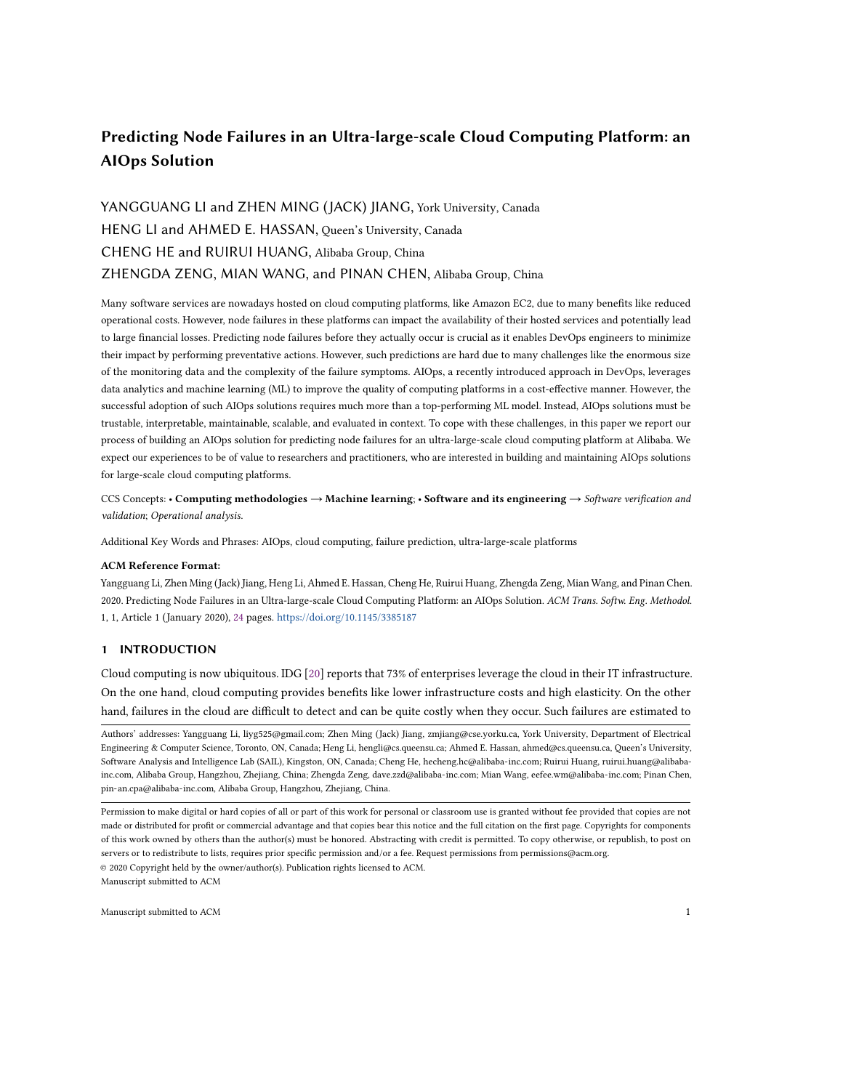# Predicting Node Failures in an Ultra-large-scale Cloud Computing Platform: an AIOps Solution

# YANGGUANG LI and ZHEN MING (JACK) JIANG, York University, Canada HENG LI and AHMED E. HASSAN, Queen's University, Canada CHENG HE and RUIRUI HUANG, Alibaba Group, China ZHENGDA ZENG, MIAN WANG, and PINAN CHEN, Alibaba Group, China

Many software services are nowadays hosted on cloud computing platforms, like Amazon EC2, due to many benefits like reduced operational costs. However, node failures in these platforms can impact the availability of their hosted services and potentially lead to large financial losses. Predicting node failures before they actually occur is crucial as it enables DevOps engineers to minimize their impact by performing preventative actions. However, such predictions are hard due to many challenges like the enormous size of the monitoring data and the complexity of the failure symptoms. AIOps, a recently introduced approach in DevOps, leverages data analytics and machine learning (ML) to improve the quality of computing platforms in a cost-effective manner. However, the successful adoption of such AIOps solutions requires much more than a top-performing ML model. Instead, AIOps solutions must be trustable, interpretable, maintainable, scalable, and evaluated in context. To cope with these challenges, in this paper we report our process of building an AIOps solution for predicting node failures for an ultra-large-scale cloud computing platform at Alibaba. We expect our experiences to be of value to researchers and practitioners, who are interested in building and maintaining AIOps solutions for large-scale cloud computing platforms.

CCS Concepts: • Computing methodologies → Machine learning; • Software and its engineering → Software verification and validation; Operational analysis.

Additional Key Words and Phrases: AIOps, cloud computing, failure prediction, ultra-large-scale platforms

#### ACM Reference Format:

Yangguang Li, Zhen Ming (Jack) Jiang, Heng Li, Ahmed E. Hassan, Cheng He, Ruirui Huang, Zhengda Zeng, Mian Wang, and Pinan Chen. 2020. Predicting Node Failures in an Ultra-large-scale Cloud Computing Platform: an AIOps Solution. ACM Trans. Softw. Eng. Methodol. 1, 1, Article 1 (January 2020), [24](#page-23-0) pages. <https://doi.org/10.1145/3385187>

## 1 INTRODUCTION

Cloud computing is now ubiquitous. IDG [\[20\]](#page-22-0) reports that 73% of enterprises leverage the cloud in their IT infrastructure. On the one hand, cloud computing provides benefits like lower infrastructure costs and high elasticity. On the other hand, failures in the cloud are difficult to detect and can be quite costly when they occur. Such failures are estimated to

Authors' addresses: Yangguang Li, liyg525@gmail.com; Zhen Ming (Jack) Jiang, zmjiang@cse.yorku.ca, York University, Department of Electrical Engineering & Computer Science, Toronto, ON, Canada; Heng Li, hengli@cs.queensu.ca; Ahmed E. Hassan, ahmed@cs.queensu.ca, Queen's University, Software Analysis and Intelligence Lab (SAIL), Kingston, ON, Canada; Cheng He, hecheng.hc@alibaba-inc.com; Ruirui Huang, ruirui.huang@alibabainc.com, Alibaba Group, Hangzhou, Zhejiang, China; Zhengda Zeng, dave.zzd@alibaba-inc.com; Mian Wang, eefee.wm@alibaba-inc.com; Pinan Chen, pin-an.cpa@alibaba-inc.com, Alibaba Group, Hangzhou, Zhejiang, China.

© 2020 Copyright held by the owner/author(s). Publication rights licensed to ACM. Manuscript submitted to ACM

Permission to make digital or hard copies of all or part of this work for personal or classroom use is granted without fee provided that copies are not made or distributed for profit or commercial advantage and that copies bear this notice and the full citation on the first page. Copyrights for components of this work owned by others than the author(s) must be honored. Abstracting with credit is permitted. To copy otherwise, or republish, to post on servers or to redistribute to lists, requires prior specific permission and/or a fee. Request permissions from permissions@acm.org.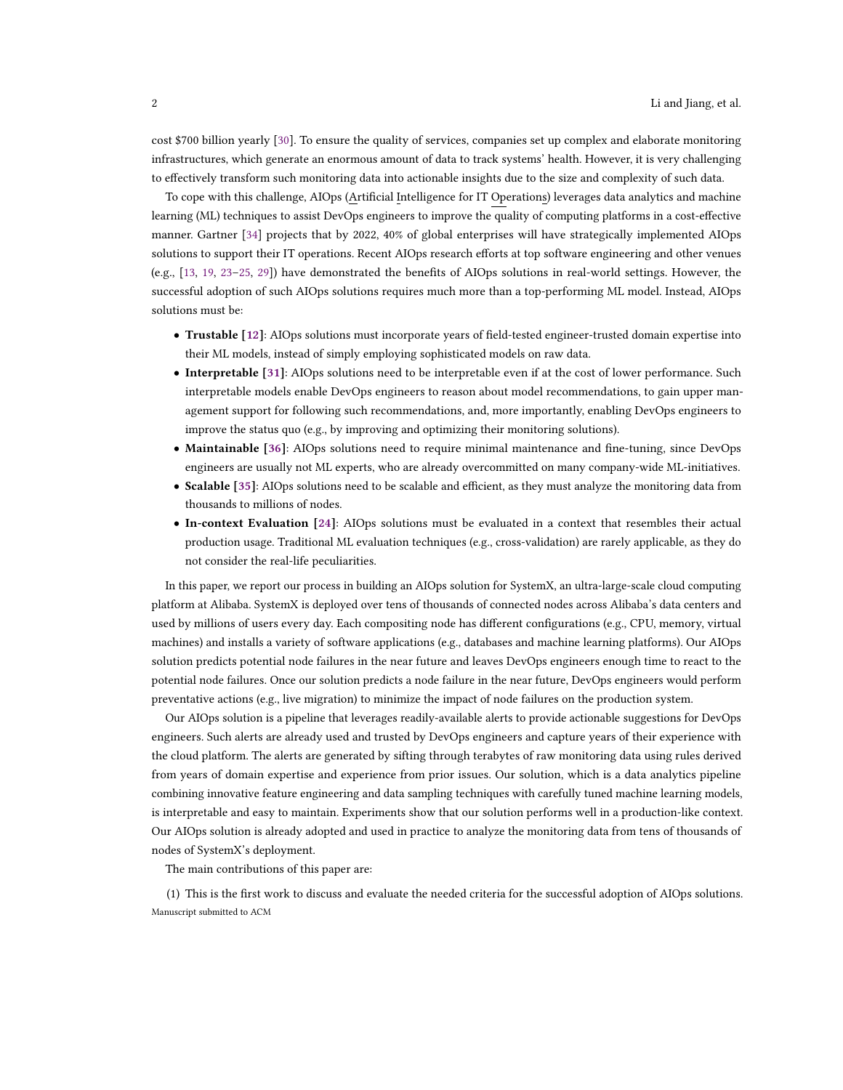cost \$700 billion yearly [\[30\]](#page-22-1). To ensure the quality of services, companies set up complex and elaborate monitoring infrastructures, which generate an enormous amount of data to track systems' health. However, it is very challenging to effectively transform such monitoring data into actionable insights due to the size and complexity of such data.

To cope with this challenge, AIOps (Artificial Intelligence for IT Operations) leverages data analytics and machine learning (ML) techniques to assist DevOps engineers to improve the quality of computing platforms in a cost-effective manner. Gartner [\[34\]](#page-22-2) projects that by 2022, 40% of global enterprises will have strategically implemented AIOps solutions to support their IT operations. Recent AIOps research efforts at top software engineering and other venues (e.g., [\[13,](#page-21-0) [19,](#page-22-3) [23–](#page-22-4)[25,](#page-22-5) [29\]](#page-22-6)) have demonstrated the benefits of AIOps solutions in real-world settings. However, the successful adoption of such AIOps solutions requires much more than a top-performing ML model. Instead, AIOps solutions must be:

- Trustable [\[12\]](#page-21-1): AIOps solutions must incorporate years of field-tested engineer-trusted domain expertise into their ML models, instead of simply employing sophisticated models on raw data.
- Interpretable [\[31\]](#page-22-7): AIOps solutions need to be interpretable even if at the cost of lower performance. Such interpretable models enable DevOps engineers to reason about model recommendations, to gain upper management support for following such recommendations, and, more importantly, enabling DevOps engineers to improve the status quo (e.g., by improving and optimizing their monitoring solutions).
- Maintainable [\[36\]](#page-22-8): AIOps solutions need to require minimal maintenance and fine-tuning, since DevOps engineers are usually not ML experts, who are already overcommitted on many company-wide ML-initiatives.
- Scalable [\[35\]](#page-22-9): AIOps solutions need to be scalable and efficient, as they must analyze the monitoring data from thousands to millions of nodes.
- In-context Evaluation [\[24\]](#page-22-10): AIOps solutions must be evaluated in a context that resembles their actual production usage. Traditional ML evaluation techniques (e.g., cross-validation) are rarely applicable, as they do not consider the real-life peculiarities.

In this paper, we report our process in building an AIOps solution for SystemX, an ultra-large-scale cloud computing platform at Alibaba. SystemX is deployed over tens of thousands of connected nodes across Alibaba's data centers and used by millions of users every day. Each compositing node has different configurations (e.g., CPU, memory, virtual machines) and installs a variety of software applications (e.g., databases and machine learning platforms). Our AIOps solution predicts potential node failures in the near future and leaves DevOps engineers enough time to react to the potential node failures. Once our solution predicts a node failure in the near future, DevOps engineers would perform preventative actions (e.g., live migration) to minimize the impact of node failures on the production system.

Our AIOps solution is a pipeline that leverages readily-available alerts to provide actionable suggestions for DevOps engineers. Such alerts are already used and trusted by DevOps engineers and capture years of their experience with the cloud platform. The alerts are generated by sifting through terabytes of raw monitoring data using rules derived from years of domain expertise and experience from prior issues. Our solution, which is a data analytics pipeline combining innovative feature engineering and data sampling techniques with carefully tuned machine learning models, is interpretable and easy to maintain. Experiments show that our solution performs well in a production-like context. Our AIOps solution is already adopted and used in practice to analyze the monitoring data from tens of thousands of nodes of SystemX's deployment.

The main contributions of this paper are:

(1) This is the first work to discuss and evaluate the needed criteria for the successful adoption of AIOps solutions. Manuscript submitted to ACM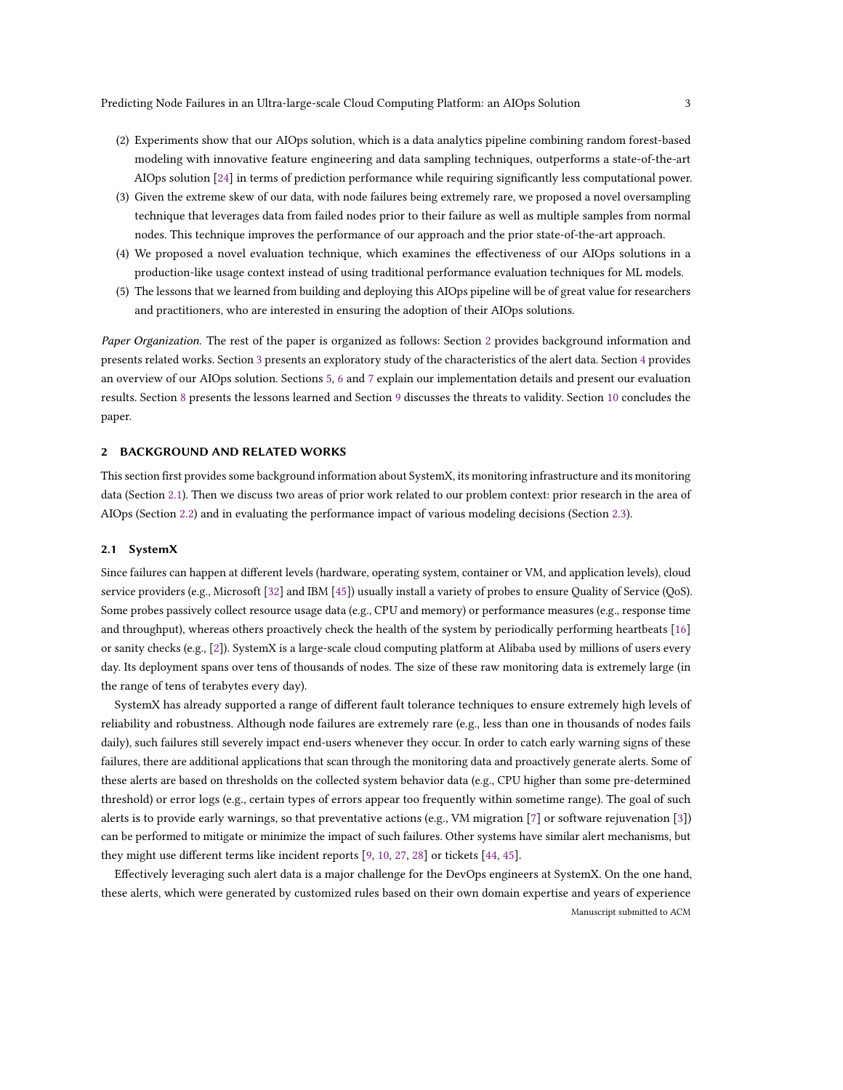- (2) Experiments show that our AIOps solution, which is a data analytics pipeline combining random forest-based modeling with innovative feature engineering and data sampling techniques, outperforms a state-of-the-art AIOps solution [\[24\]](#page-22-10) in terms of prediction performance while requiring significantly less computational power.
- (3) Given the extreme skew of our data, with node failures being extremely rare, we proposed a novel oversampling technique that leverages data from failed nodes prior to their failure as well as multiple samples from normal nodes. This technique improves the performance of our approach and the prior state-of-the-art approach.
- (4) We proposed a novel evaluation technique, which examines the effectiveness of our AIOps solutions in a production-like usage context instead of using traditional performance evaluation techniques for ML models.
- (5) The lessons that we learned from building and deploying this AIOps pipeline will be of great value for researchers and practitioners, who are interested in ensuring the adoption of their AIOps solutions.

Paper Organization. The rest of the paper is organized as follows: Section [2](#page-2-0) provides background information and presents related works. Section [3](#page-4-0) presents an exploratory study of the characteristics of the alert data. Section [4](#page-6-0) provides an overview of our AIOps solution. Sections [5,](#page-7-0) [6](#page-10-0) and [7](#page-12-0) explain our implementation details and present our evaluation results. Section [8](#page-15-0) presents the lessons learned and Section [9](#page-19-0) discusses the threats to validity. Section [10](#page-20-0) concludes the paper.

## <span id="page-2-0"></span>2 BACKGROUND AND RELATED WORKS

This section first provides some background information about SystemX, its monitoring infrastructure and its monitoring data (Section [2.1\)](#page-2-1). Then we discuss two areas of prior work related to our problem context: prior research in the area of AIOps (Section [2.2\)](#page-3-0) and in evaluating the performance impact of various modeling decisions (Section [2.3\)](#page-4-1).

### <span id="page-2-1"></span>2.1 SystemX

Since failures can happen at different levels (hardware, operating system, container or VM, and application levels), cloud service providers (e.g., Microsoft [\[32\]](#page-22-11) and IBM [\[45\]](#page-22-12)) usually install a variety of probes to ensure Quality of Service (QoS). Some probes passively collect resource usage data (e.g., CPU and memory) or performance measures (e.g., response time and throughput), whereas others proactively check the health of the system by periodically performing heartbeats [\[16\]](#page-21-2) or sanity checks (e.g., [\[2\]](#page-21-3)). SystemX is a large-scale cloud computing platform at Alibaba used by millions of users every day. Its deployment spans over tens of thousands of nodes. The size of these raw monitoring data is extremely large (in the range of tens of terabytes every day).

SystemX has already supported a range of different fault tolerance techniques to ensure extremely high levels of reliability and robustness. Although node failures are extremely rare (e.g., less than one in thousands of nodes fails daily), such failures still severely impact end-users whenever they occur. In order to catch early warning signs of these failures, there are additional applications that scan through the monitoring data and proactively generate alerts. Some of these alerts are based on thresholds on the collected system behavior data (e.g., CPU higher than some pre-determined threshold) or error logs (e.g., certain types of errors appear too frequently within sometime range). The goal of such alerts is to provide early warnings, so that preventative actions (e.g., VM migration [\[7\]](#page-21-4) or software rejuvenation [\[3\]](#page-21-5)) can be performed to mitigate or minimize the impact of such failures. Other systems have similar alert mechanisms, but they might use different terms like incident reports [\[9,](#page-21-6) [10,](#page-21-7) [27,](#page-22-13) [28\]](#page-22-14) or tickets [\[44,](#page-22-15) [45\]](#page-22-12).

Effectively leveraging such alert data is a major challenge for the DevOps engineers at SystemX. On the one hand, these alerts, which were generated by customized rules based on their own domain expertise and years of experience Manuscript submitted to ACM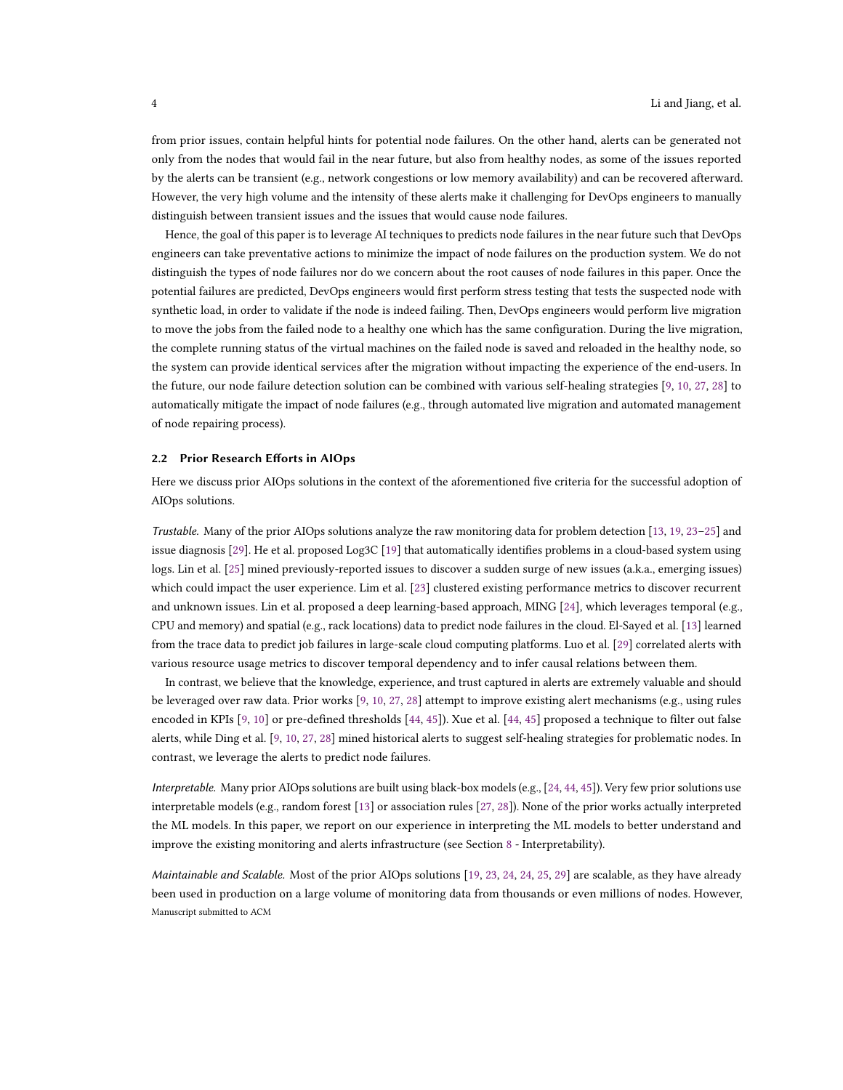from prior issues, contain helpful hints for potential node failures. On the other hand, alerts can be generated not only from the nodes that would fail in the near future, but also from healthy nodes, as some of the issues reported by the alerts can be transient (e.g., network congestions or low memory availability) and can be recovered afterward. However, the very high volume and the intensity of these alerts make it challenging for DevOps engineers to manually distinguish between transient issues and the issues that would cause node failures.

Hence, the goal of this paper is to leverage AI techniques to predicts node failures in the near future such that DevOps engineers can take preventative actions to minimize the impact of node failures on the production system. We do not distinguish the types of node failures nor do we concern about the root causes of node failures in this paper. Once the potential failures are predicted, DevOps engineers would first perform stress testing that tests the suspected node with synthetic load, in order to validate if the node is indeed failing. Then, DevOps engineers would perform live migration to move the jobs from the failed node to a healthy one which has the same configuration. During the live migration, the complete running status of the virtual machines on the failed node is saved and reloaded in the healthy node, so the system can provide identical services after the migration without impacting the experience of the end-users. In the future, our node failure detection solution can be combined with various self-healing strategies [\[9,](#page-21-6) [10,](#page-21-7) [27,](#page-22-13) [28\]](#page-22-14) to automatically mitigate the impact of node failures (e.g., through automated live migration and automated management of node repairing process).

#### <span id="page-3-0"></span>2.2 Prior Research Efforts in AIOps

Here we discuss prior AIOps solutions in the context of the aforementioned five criteria for the successful adoption of AIOps solutions.

Trustable. Many of the prior AIOps solutions analyze the raw monitoring data for problem detection [\[13,](#page-21-0) [19,](#page-22-3) [23–](#page-22-4)[25\]](#page-22-5) and issue diagnosis [\[29\]](#page-22-6). He et al. proposed Log3C [\[19\]](#page-22-3) that automatically identifies problems in a cloud-based system using logs. Lin et al. [\[25\]](#page-22-5) mined previously-reported issues to discover a sudden surge of new issues (a.k.a., emerging issues) which could impact the user experience. Lim et al. [\[23\]](#page-22-4) clustered existing performance metrics to discover recurrent and unknown issues. Lin et al. proposed a deep learning-based approach, MING [\[24\]](#page-22-10), which leverages temporal (e.g., CPU and memory) and spatial (e.g., rack locations) data to predict node failures in the cloud. El-Sayed et al. [\[13\]](#page-21-0) learned from the trace data to predict job failures in large-scale cloud computing platforms. Luo et al. [\[29\]](#page-22-6) correlated alerts with various resource usage metrics to discover temporal dependency and to infer causal relations between them.

In contrast, we believe that the knowledge, experience, and trust captured in alerts are extremely valuable and should be leveraged over raw data. Prior works [\[9,](#page-21-6) [10,](#page-21-7) [27,](#page-22-13) [28\]](#page-22-14) attempt to improve existing alert mechanisms (e.g., using rules encoded in KPIs [\[9,](#page-21-6) [10\]](#page-21-7) or pre-defined thresholds [\[44,](#page-22-15) [45\]](#page-22-12)). Xue et al. [\[44,](#page-22-15) [45\]](#page-22-12) proposed a technique to filter out false alerts, while Ding et al. [\[9,](#page-21-6) [10,](#page-21-7) [27,](#page-22-13) [28\]](#page-22-14) mined historical alerts to suggest self-healing strategies for problematic nodes. In contrast, we leverage the alerts to predict node failures.

Interpretable. Many prior AIOps solutions are built using black-box models (e.g., [\[24,](#page-22-10) [44,](#page-22-15) [45\]](#page-22-12)). Very few prior solutions use interpretable models (e.g., random forest [\[13\]](#page-21-0) or association rules [\[27,](#page-22-13) [28\]](#page-22-14)). None of the prior works actually interpreted the ML models. In this paper, we report on our experience in interpreting the ML models to better understand and improve the existing monitoring and alerts infrastructure (see Section [8](#page-15-0) - Interpretability).

Maintainable and Scalable. Most of the prior AIOps solutions [\[19,](#page-22-3) [23,](#page-22-4) [24,](#page-22-10) [24,](#page-22-10) [25,](#page-22-5) [29\]](#page-22-6) are scalable, as they have already been used in production on a large volume of monitoring data from thousands or even millions of nodes. However, Manuscript submitted to ACM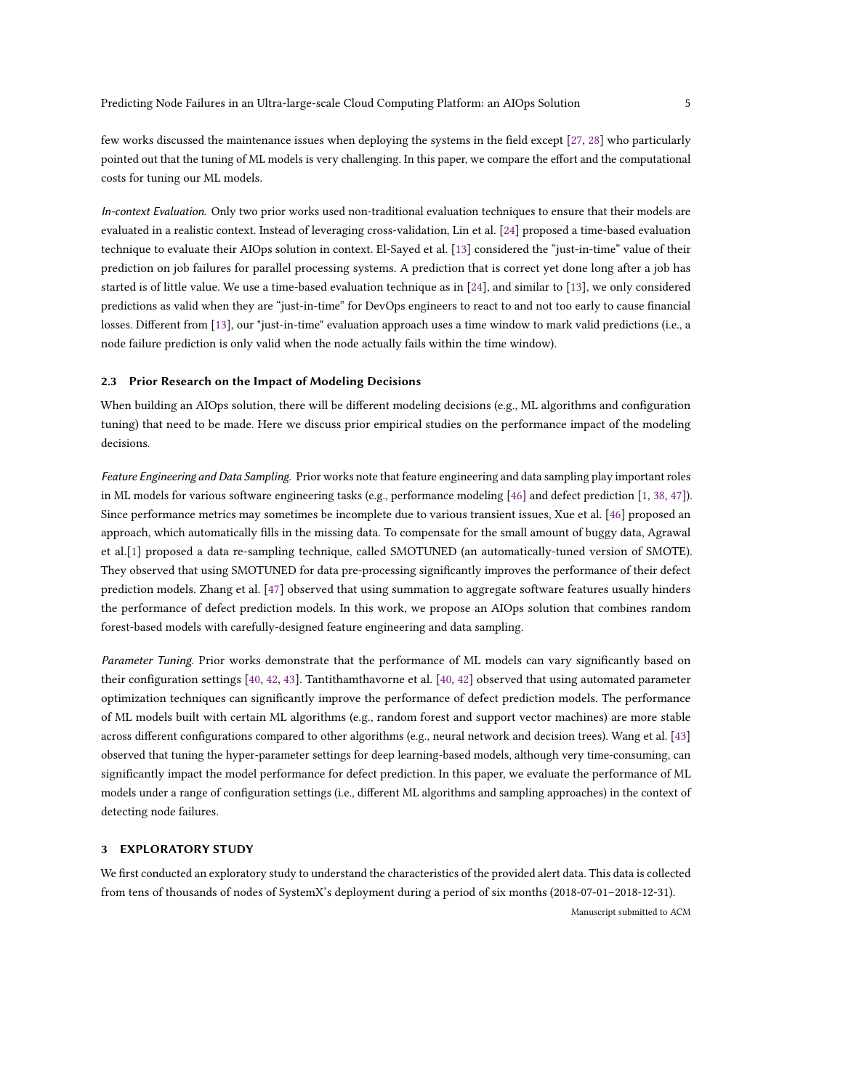few works discussed the maintenance issues when deploying the systems in the field except [\[27,](#page-22-13) [28\]](#page-22-14) who particularly pointed out that the tuning of ML models is very challenging. In this paper, we compare the effort and the computational costs for tuning our ML models.

In-context Evaluation. Only two prior works used non-traditional evaluation techniques to ensure that their models are evaluated in a realistic context. Instead of leveraging cross-validation, Lin et al. [\[24\]](#page-22-10) proposed a time-based evaluation technique to evaluate their AIOps solution in context. El-Sayed et al. [\[13\]](#page-21-0) considered the "just-in-time" value of their prediction on job failures for parallel processing systems. A prediction that is correct yet done long after a job has started is of little value. We use a time-based evaluation technique as in [\[24\]](#page-22-10), and similar to [\[13\]](#page-21-0), we only considered predictions as valid when they are "just-in-time" for DevOps engineers to react to and not too early to cause financial losses. Different from [\[13\]](#page-21-0), our "just-in-time" evaluation approach uses a time window to mark valid predictions (i.e., a node failure prediction is only valid when the node actually fails within the time window).

#### <span id="page-4-1"></span>2.3 Prior Research on the Impact of Modeling Decisions

When building an AIOps solution, there will be different modeling decisions (e.g., ML algorithms and configuration tuning) that need to be made. Here we discuss prior empirical studies on the performance impact of the modeling decisions.

Feature Engineering and Data Sampling. Prior works note that feature engineering and data sampling play important roles in ML models for various software engineering tasks (e.g., performance modeling [\[46\]](#page-23-1) and defect prediction [\[1,](#page-21-8) [38,](#page-22-16) [47\]](#page-23-2)). Since performance metrics may sometimes be incomplete due to various transient issues, Xue et al. [\[46\]](#page-23-1) proposed an approach, which automatically fills in the missing data. To compensate for the small amount of buggy data, Agrawal et al.[\[1\]](#page-21-8) proposed a data re-sampling technique, called SMOTUNED (an automatically-tuned version of SMOTE). They observed that using SMOTUNED for data pre-processing significantly improves the performance of their defect prediction models. Zhang et al. [\[47\]](#page-23-2) observed that using summation to aggregate software features usually hinders the performance of defect prediction models. In this work, we propose an AIOps solution that combines random forest-based models with carefully-designed feature engineering and data sampling.

Parameter Tuning. Prior works demonstrate that the performance of ML models can vary significantly based on their configuration settings [\[40,](#page-22-17) [42,](#page-22-18) [43\]](#page-22-19). Tantithamthavorne et al. [\[40,](#page-22-17) [42\]](#page-22-18) observed that using automated parameter optimization techniques can significantly improve the performance of defect prediction models. The performance of ML models built with certain ML algorithms (e.g., random forest and support vector machines) are more stable across different configurations compared to other algorithms (e.g., neural network and decision trees). Wang et al. [\[43\]](#page-22-19) observed that tuning the hyper-parameter settings for deep learning-based models, although very time-consuming, can significantly impact the model performance for defect prediction. In this paper, we evaluate the performance of ML models under a range of configuration settings (i.e., different ML algorithms and sampling approaches) in the context of detecting node failures.

#### <span id="page-4-0"></span>3 EXPLORATORY STUDY

We first conducted an exploratory study to understand the characteristics of the provided alert data. This data is collected from tens of thousands of nodes of SystemX's deployment during a period of six months (2018-07-01–2018-12-31).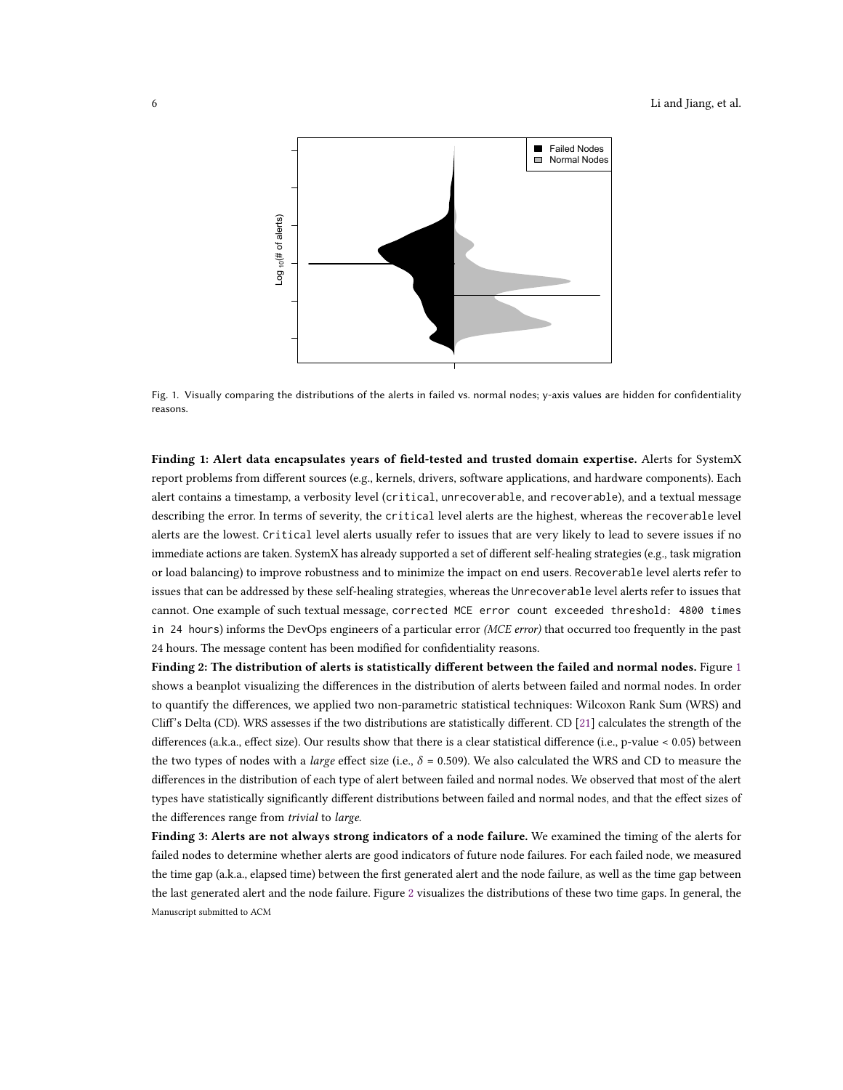<span id="page-5-0"></span>

Fig. 1. Visually comparing the distributions of the alerts in failed vs. normal nodes; y-axis values are hidden for confidentiality reasons.

Finding 1: Alert data encapsulates years of field-tested and trusted domain expertise. Alerts for SystemX report problems from different sources (e.g., kernels, drivers, software applications, and hardware components). Each alert contains a timestamp, a verbosity level (critical, unrecoverable, and recoverable), and a textual message describing the error. In terms of severity, the critical level alerts are the highest, whereas the recoverable level alerts are the lowest. Critical level alerts usually refer to issues that are very likely to lead to severe issues if no immediate actions are taken. SystemX has already supported a set of different self-healing strategies (e.g., task migration or load balancing) to improve robustness and to minimize the impact on end users. Recoverable level alerts refer to issues that can be addressed by these self-healing strategies, whereas the Unrecoverable level alerts refer to issues that cannot. One example of such textual message, corrected MCE error count exceeded threshold: 4800 times in 24 hours) informs the DevOps engineers of a particular error (MCE error) that occurred too frequently in the past 24 hours. The message content has been modified for confidentiality reasons.

Finding 2: The distribution of alerts is statistically different between the failed and normal nodes. Figure [1](#page-5-0) shows a beanplot visualizing the differences in the distribution of alerts between failed and normal nodes. In order to quantify the differences, we applied two non-parametric statistical techniques: Wilcoxon Rank Sum (WRS) and Cliff's Delta (CD). WRS assesses if the two distributions are statistically different. CD [\[21\]](#page-22-20) calculates the strength of the differences (a.k.a., effect size). Our results show that there is a clear statistical difference (i.e., p-value < 0.05) between the two types of nodes with a *large* effect size (i.e.,  $\delta = 0.509$ ). We also calculated the WRS and CD to measure the differences in the distribution of each type of alert between failed and normal nodes. We observed that most of the alert types have statistically significantly different distributions between failed and normal nodes, and that the effect sizes of the differences range from trivial to large.

Finding 3: Alerts are not always strong indicators of a node failure. We examined the timing of the alerts for failed nodes to determine whether alerts are good indicators of future node failures. For each failed node, we measured the time gap (a.k.a., elapsed time) between the first generated alert and the node failure, as well as the time gap between the last generated alert and the node failure. Figure [2](#page-6-1) visualizes the distributions of these two time gaps. In general, the Manuscript submitted to ACM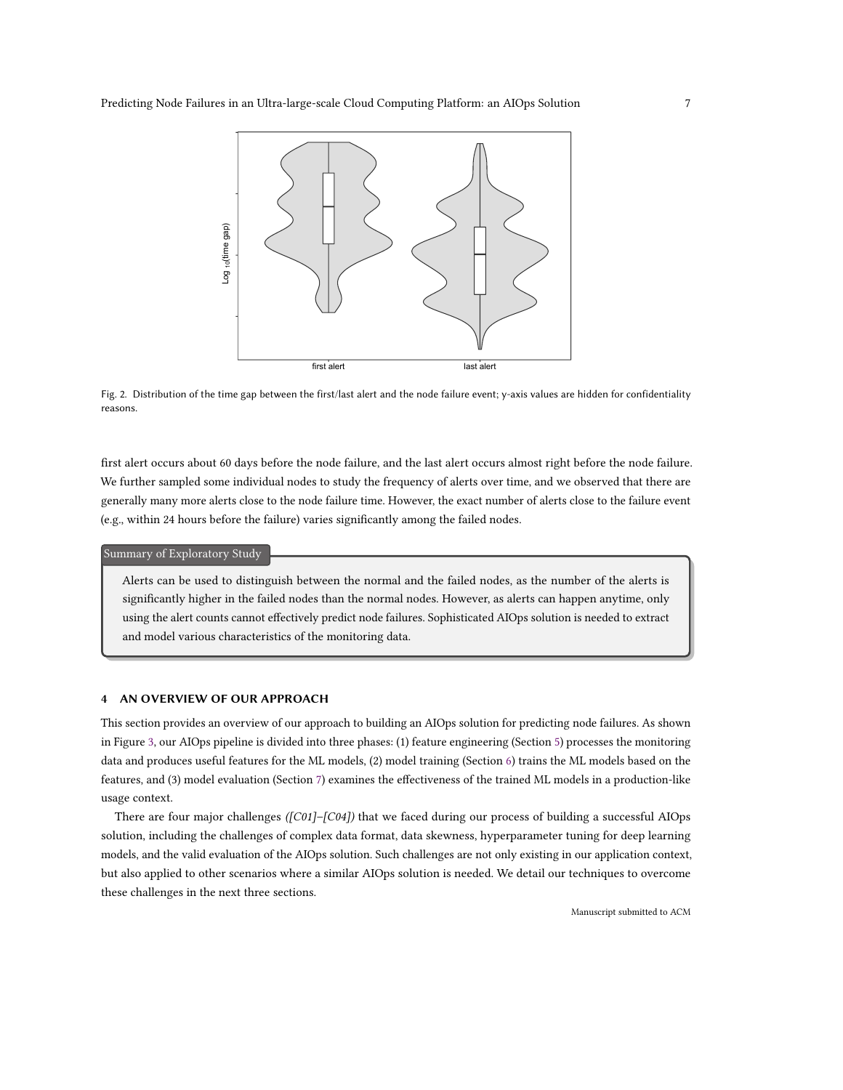<span id="page-6-1"></span>

Fig. 2. Distribution of the time gap between the first/last alert and the node failure event; y-axis values are hidden for confidentiality reasons.

first alert occurs about 60 days before the node failure, and the last alert occurs almost right before the node failure. We further sampled some individual nodes to study the frequency of alerts over time, and we observed that there are generally many more alerts close to the node failure time. However, the exact number of alerts close to the failure event (e.g., within 24 hours before the failure) varies significantly among the failed nodes.

Summary of Exploratory Study

Alerts can be used to distinguish between the normal and the failed nodes, as the number of the alerts is significantly higher in the failed nodes than the normal nodes. However, as alerts can happen anytime, only using the alert counts cannot effectively predict node failures. Sophisticated AIOps solution is needed to extract and model various characteristics of the monitoring data.

## <span id="page-6-0"></span>4 AN OVERVIEW OF OUR APPROACH

This section provides an overview of our approach to building an AIOps solution for predicting node failures. As shown in Figure [3,](#page-7-1) our AIOps pipeline is divided into three phases: (1) feature engineering (Section [5\)](#page-7-0) processes the monitoring data and produces useful features for the ML models, (2) model training (Section [6\)](#page-10-0) trains the ML models based on the features, and (3) model evaluation (Section [7\)](#page-12-0) examines the effectiveness of the trained ML models in a production-like usage context.

There are four major challenges ([C01]–[C04]) that we faced during our process of building a successful AIOps solution, including the challenges of complex data format, data skewness, hyperparameter tuning for deep learning models, and the valid evaluation of the AIOps solution. Such challenges are not only existing in our application context, but also applied to other scenarios where a similar AIOps solution is needed. We detail our techniques to overcome these challenges in the next three sections.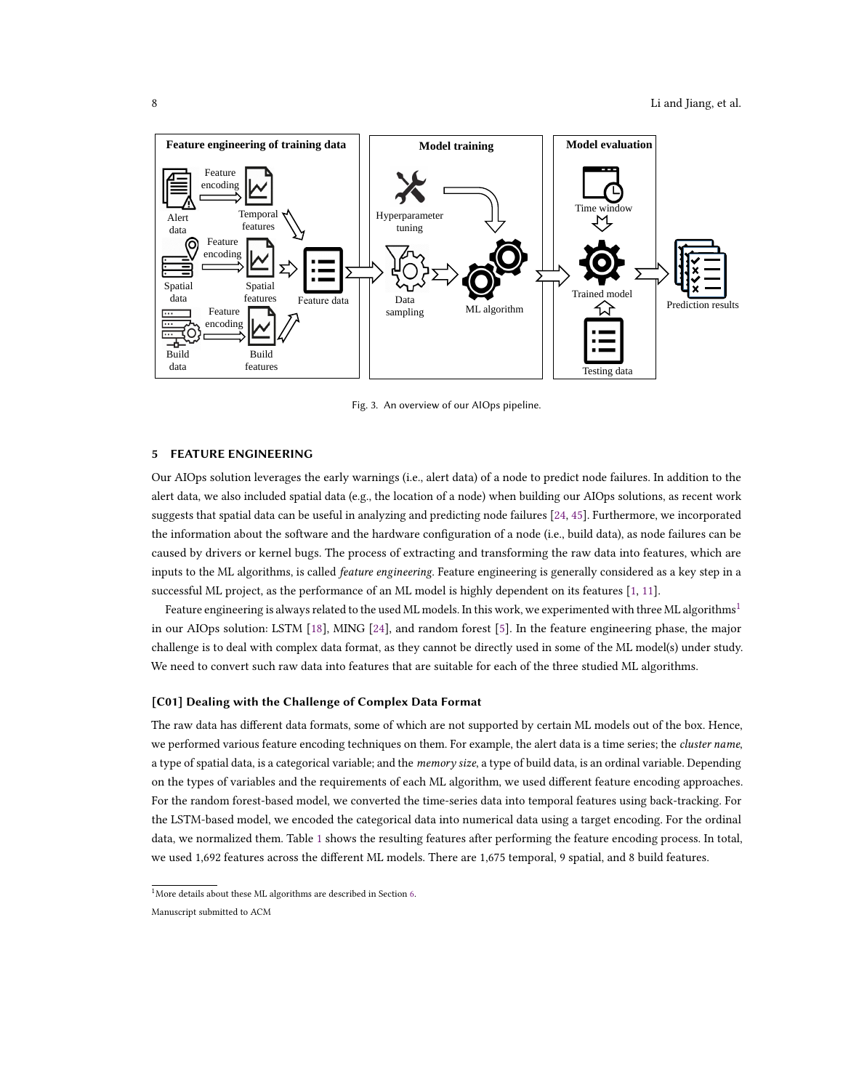<span id="page-7-1"></span>

Fig. 3. An overview of our AIOps pipeline.

## <span id="page-7-0"></span>5 FEATURE ENGINEERING

Our AIOps solution leverages the early warnings (i.e., alert data) of a node to predict node failures. In addition to the alert data, we also included spatial data (e.g., the location of a node) when building our AIOps solutions, as recent work suggests that spatial data can be useful in analyzing and predicting node failures [\[24,](#page-22-10) [45\]](#page-22-12). Furthermore, we incorporated the information about the software and the hardware configuration of a node (i.e., build data), as node failures can be caused by drivers or kernel bugs. The process of extracting and transforming the raw data into features, which are inputs to the ML algorithms, is called *feature engineering*. Feature engineering is generally considered as a key step in a successful ML project, as the performance of an ML model is highly dependent on its features [\[1,](#page-21-8) [11\]](#page-21-9).

Feature engineering is always related to the used ML models. In this work, we experimented with three ML algorithms<sup>[1](#page-7-2)</sup> in our AIOps solution: LSTM [\[18\]](#page-22-21), MING [\[24\]](#page-22-10), and random forest [\[5\]](#page-21-10). In the feature engineering phase, the major challenge is to deal with complex data format, as they cannot be directly used in some of the ML model(s) under study. We need to convert such raw data into features that are suitable for each of the three studied ML algorithms.

### [C01] Dealing with the Challenge of Complex Data Format

The raw data has different data formats, some of which are not supported by certain ML models out of the box. Hence, we performed various feature encoding techniques on them. For example, the alert data is a time series; the *cluster name*, a type of spatial data, is a categorical variable; and the *memory size*, a type of build data, is an ordinal variable. Depending on the types of variables and the requirements of each ML algorithm, we used different feature encoding approaches. For the random forest-based model, we converted the time-series data into temporal features using back-tracking. For the LSTM-based model, we encoded the categorical data into numerical data using a target encoding. For the ordinal data, we normalized them. Table [1](#page-8-0) shows the resulting features after performing the feature encoding process. In total, we used 1,692 features across the different ML models. There are 1,675 temporal, 9 spatial, and 8 build features.

<span id="page-7-2"></span> $^{1}$  More details about these ML algorithms are described in Section  $6\mathrm{.}$ 

Manuscript submitted to ACM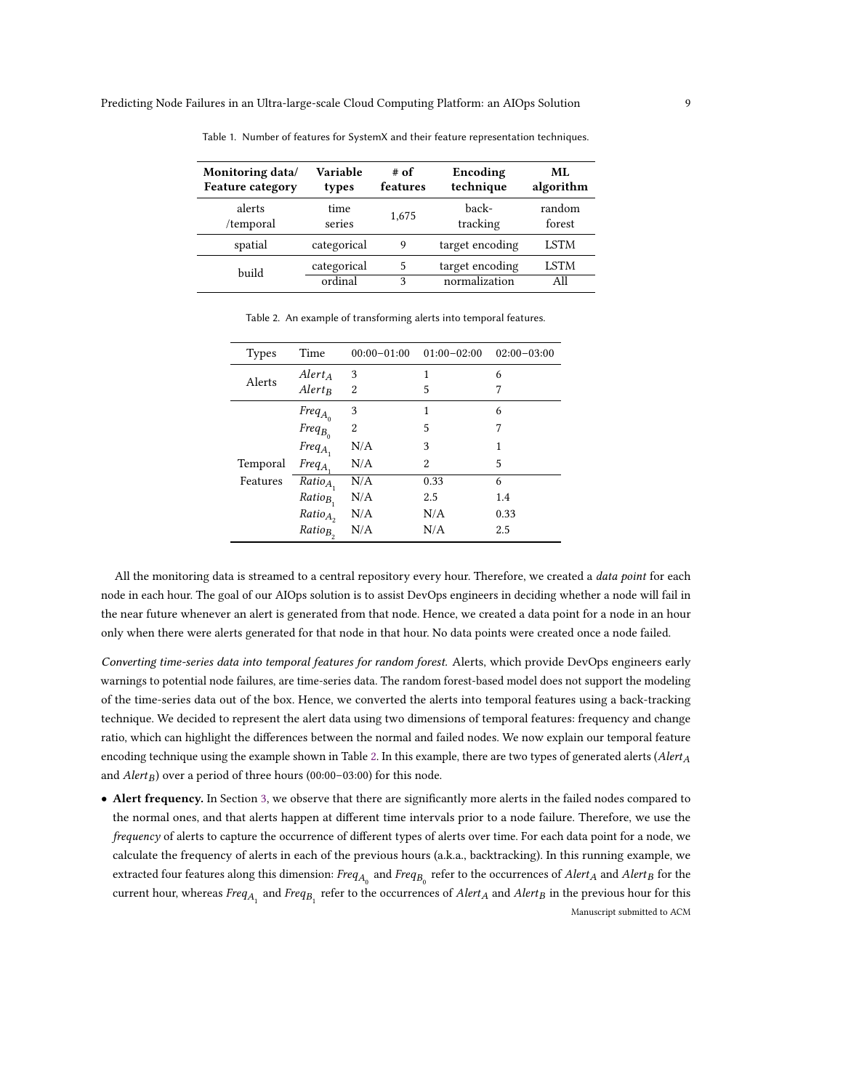| Monitoring data/        | Variable    | # of     | Encoding        | ML.         |
|-------------------------|-------------|----------|-----------------|-------------|
| <b>Feature category</b> | types       | features | technique       | algorithm   |
| alerts                  | time        | 1,675    | back-           | random      |
| /temporal               | series      |          | tracking        | forest      |
| spatial                 | categorical | 9        | target encoding | <b>LSTM</b> |
| build                   | categorical | 5        | target encoding | <b>LSTM</b> |
|                         | ordinal     | 3        | normalization   | A11         |

<span id="page-8-0"></span>Table 1. Number of features for SystemX and their feature representation techniques.

Table 2. An example of transforming alerts into temporal features.

<span id="page-8-1"></span>

| <b>Types</b> | Time                                                                                              | $00:00 - 01:00$ | $01:00 - 02:00$ | $02:00-03:00$ |
|--------------|---------------------------------------------------------------------------------------------------|-----------------|-----------------|---------------|
| Alerts       | $Alert_A$                                                                                         | 3               | 1               | 6             |
|              | $Alert_B$                                                                                         | 2               | 5               | 7             |
|              |                                                                                                   | 3               | 1               | 6             |
|              | $\begin{aligned} \textit{Freq}_{A_0} \\ \textit{Freq}_{B_0} \\ \textit{Freq}_{A_1} \end{aligned}$ | 2               | 5               | 7             |
|              |                                                                                                   | N/A             | 3               | 1             |
| Temporal     | $Freq_A$                                                                                          | N/A             | 2               | 5             |
| Features     | $Ratio_{A_1}$                                                                                     | N/A             | 0.33            | 6             |
|              | $Ratio_{B}$                                                                                       | N/A             | 2.5             | 1.4           |
|              | $Ratio_{A_2}$                                                                                     | N/A             | N/A             | 0.33          |
|              | $Ratio_{B_2}$                                                                                     | N/A             | N/A             | 2.5           |

All the monitoring data is streamed to a central repository every hour. Therefore, we created a *data point* for each node in each hour. The goal of our AIOps solution is to assist DevOps engineers in deciding whether a node will fail in the near future whenever an alert is generated from that node. Hence, we created a data point for a node in an hour only when there were alerts generated for that node in that hour. No data points were created once a node failed.

Converting time-series data into temporal features for random forest. Alerts, which provide DevOps engineers early warnings to potential node failures, are time-series data. The random forest-based model does not support the modeling of the time-series data out of the box. Hence, we converted the alerts into temporal features using a back-tracking technique. We decided to represent the alert data using two dimensions of temporal features: frequency and change ratio, which can highlight the differences between the normal and failed nodes. We now explain our temporal feature encoding technique using the example shown in Table [2.](#page-8-1) In this example, there are two types of generated alerts ( $Alert_A$ and  $Alert_B$ ) over a period of three hours (00:00–03:00) for this node.

• Alert frequency. In Section [3,](#page-4-0) we observe that there are significantly more alerts in the failed nodes compared to the normal ones, and that alerts happen at different time intervals prior to a node failure. Therefore, we use the frequency of alerts to capture the occurrence of different types of alerts over time. For each data point for a node, we calculate the frequency of alerts in each of the previous hours (a.k.a., backtracking). In this running example, we extracted four features along this dimension:  $Freq_{A_0}$  and  $Freq_{B_0}$  refer to the occurrences of  $AlerA$  and  $AlerB$  for the current hour, whereas  $Freq_{A_1}$  and  $Freq_{B_1}$  refer to the occurrences of  $Alert_A$  and  $Alert_B$  in the previous hour for this Manuscript submitted to ACM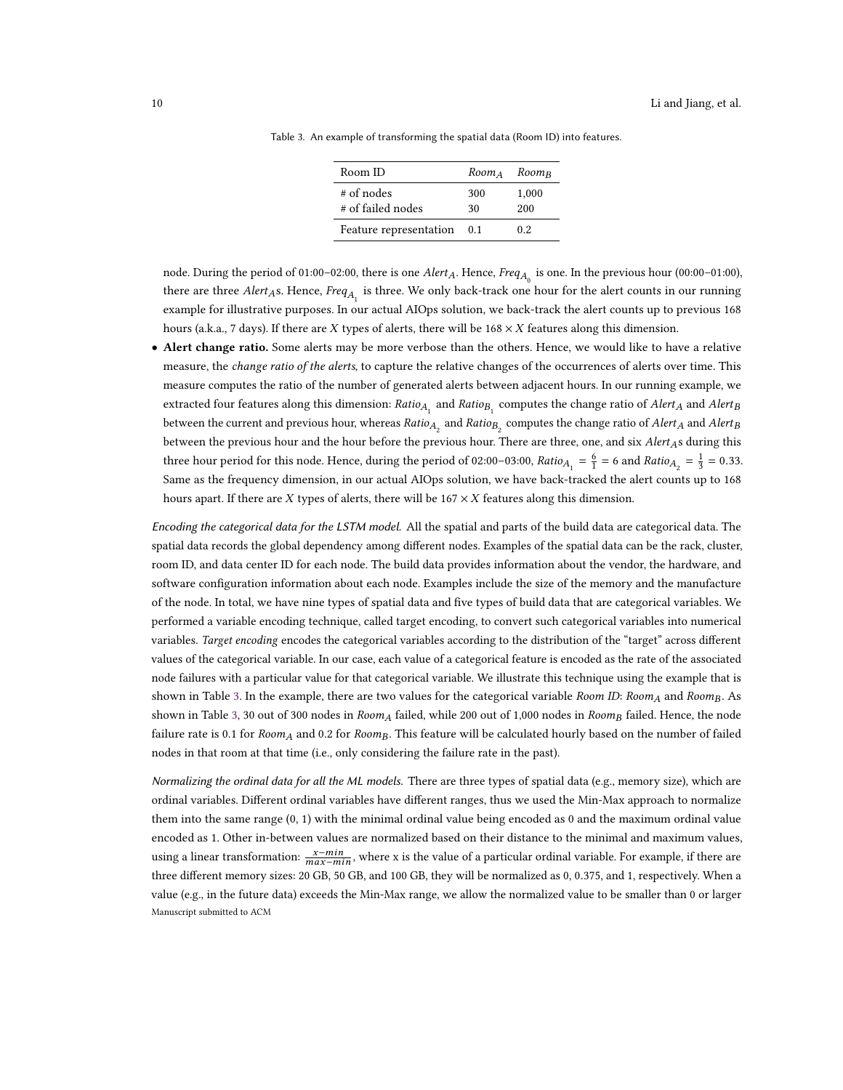| Room ID                           | $Room_A$ Room <sub>B</sub> |              |
|-----------------------------------|----------------------------|--------------|
| $#$ of nodes<br># of failed nodes | 300<br>30                  | 1,000<br>200 |
| Feature representation            | 0.1                        | 0.2          |

<span id="page-9-0"></span>Table 3. An example of transforming the spatial data (Room ID) into features.

node. During the period of 01:00–02:00, there is one  $Alert_A$ . Hence,  $Freq_{A_0}$  is one. In the previous hour (00:00–01:00), there are three  $Alert_{A}$ s. Hence,  $Freq_{A_1}$  is three. We only back-track one hour for the alert counts in our running example for illustrative purposes. In our actual AIOps solution, we back-track the alert counts up to previous 168 hours (a.k.a., 7 days). If there are X types of alerts, there will be  $168 \times X$  features along this dimension.

• Alert change ratio. Some alerts may be more verbose than the others. Hence, we would like to have a relative measure, the *change ratio of the alerts*, to capture the relative changes of the occurrences of alerts over time. This measure computes the ratio of the number of generated alerts between adjacent hours. In our running example, we extracted four features along this dimension:  $Ratio_{A_1}$  and  $Ratio_{B_1}$  computes the change ratio of  $Alert_A$  and  $Alert_B$ between the current and previous hour, whereas  $Ratio_{A_2}$  and  $Ratio_{B_2}$  computes the change ratio of  $Alert_A$  and  $Alert_B$ between the previous hour and the hour before the previous hour. There are three, one, and six *Alert<sub>A</sub>s* during this three hour period for this node. Hence, during the period of 02:00–03:00,  $Ratio_{A_1} = \frac{6}{1} = 6$  and  $Ratio_{A_2} = \frac{1}{3} = 0.33$ . Same as the frequency dimension, in our actual AIOps solution, we have back-tracked the alert counts up to 168 hours apart. If there are  $X$  types of alerts, there will be  $167 \times X$  features along this dimension.

Encoding the categorical data for the LSTM model. All the spatial and parts of the build data are categorical data. The spatial data records the global dependency among different nodes. Examples of the spatial data can be the rack, cluster, room ID, and data center ID for each node. The build data provides information about the vendor, the hardware, and software configuration information about each node. Examples include the size of the memory and the manufacture of the node. In total, we have nine types of spatial data and five types of build data that are categorical variables. We performed a variable encoding technique, called target encoding, to convert such categorical variables into numerical variables. Target encoding encodes the categorical variables according to the distribution of the "target" across different values of the categorical variable. In our case, each value of a categorical feature is encoded as the rate of the associated node failures with a particular value for that categorical variable. We illustrate this technique using the example that is shown in Table [3.](#page-9-0) In the example, there are two values for the categorical variable Room ID: Room<sub>A</sub> and Room<sub>B</sub>. As shown in Table [3,](#page-9-0) 30 out of 300 nodes in  $Room_A$  failed, while 200 out of 1,000 nodes in  $Room_B$  failed. Hence, the node failure rate is 0.1 for Room<sub>A</sub> and 0.2 for Room<sub>B</sub>. This feature will be calculated hourly based on the number of failed nodes in that room at that time (i.e., only considering the failure rate in the past).

Normalizing the ordinal data for all the ML models. There are three types of spatial data (e.g., memory size), which are ordinal variables. Different ordinal variables have different ranges, thus we used the Min-Max approach to normalize them into the same range (0, 1) with the minimal ordinal value being encoded as 0 and the maximum ordinal value encoded as 1. Other in-between values are normalized based on their distance to the minimal and maximum values, using a linear transformation:  $\frac{x-min}{max-min}$ , where x is the value of a particular ordinal variable. For example, if there are three different memory sizes: 20 GB, 50 GB, and 100 GB, they will be normalized as 0, <sup>0</sup>.375, and 1, respectively. When a value (e.g., in the future data) exceeds the Min-Max range, we allow the normalized value to be smaller than 0 or larger Manuscript submitted to ACM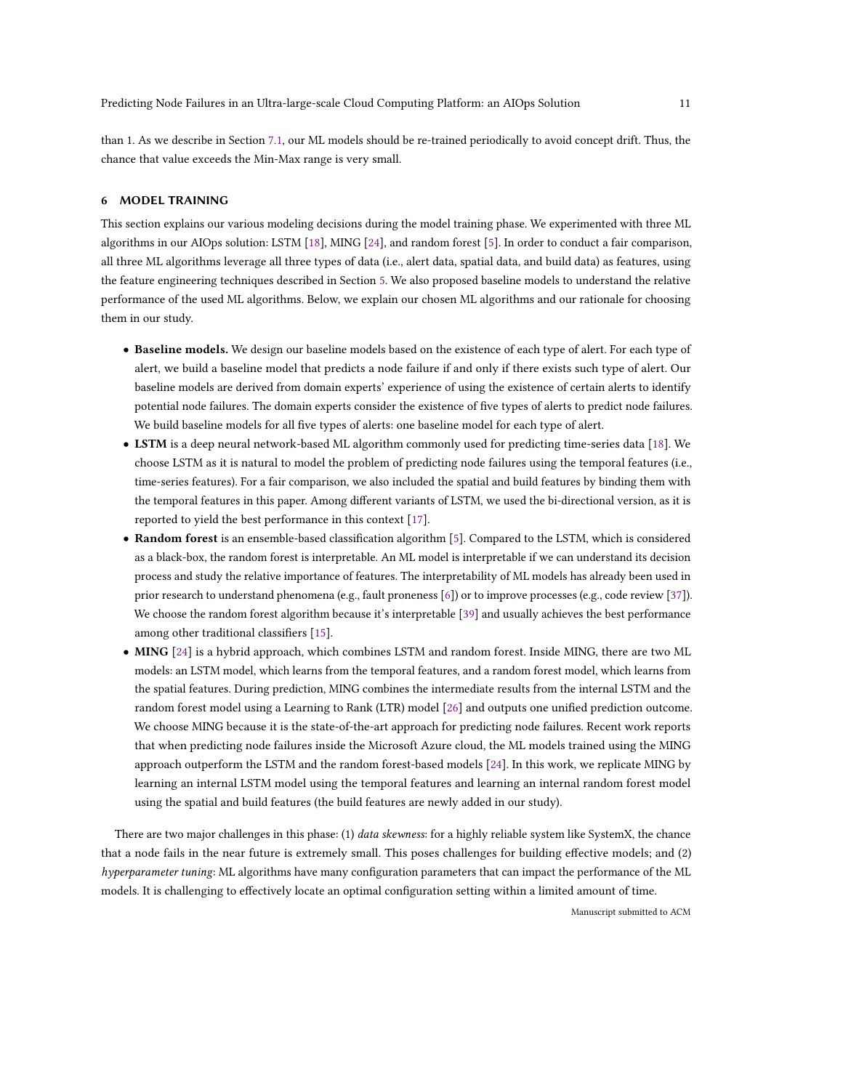than 1. As we describe in Section [7.1,](#page-13-0) our ML models should be re-trained periodically to avoid concept drift. Thus, the chance that value exceeds the Min-Max range is very small.

#### <span id="page-10-0"></span>6 MODEL TRAINING

This section explains our various modeling decisions during the model training phase. We experimented with three ML algorithms in our AIOps solution: LSTM [\[18\]](#page-22-21), MING [\[24\]](#page-22-10), and random forest [\[5\]](#page-21-10). In order to conduct a fair comparison, all three ML algorithms leverage all three types of data (i.e., alert data, spatial data, and build data) as features, using the feature engineering techniques described in Section [5.](#page-7-0) We also proposed baseline models to understand the relative performance of the used ML algorithms. Below, we explain our chosen ML algorithms and our rationale for choosing them in our study.

- Baseline models. We design our baseline models based on the existence of each type of alert. For each type of alert, we build a baseline model that predicts a node failure if and only if there exists such type of alert. Our baseline models are derived from domain experts' experience of using the existence of certain alerts to identify potential node failures. The domain experts consider the existence of five types of alerts to predict node failures. We build baseline models for all five types of alerts: one baseline model for each type of alert.
- LSTM is a deep neural network-based ML algorithm commonly used for predicting time-series data [\[18\]](#page-22-21). We choose LSTM as it is natural to model the problem of predicting node failures using the temporal features (i.e., time-series features). For a fair comparison, we also included the spatial and build features by binding them with the temporal features in this paper. Among different variants of LSTM, we used the bi-directional version, as it is reported to yield the best performance in this context [\[17\]](#page-21-11).
- Random forest is an ensemble-based classification algorithm [\[5\]](#page-21-10). Compared to the LSTM, which is considered as a black-box, the random forest is interpretable. An ML model is interpretable if we can understand its decision process and study the relative importance of features. The interpretability of ML models has already been used in prior research to understand phenomena (e.g., fault proneness [\[6\]](#page-21-12)) or to improve processes (e.g., code review [\[37\]](#page-22-22)). We choose the random forest algorithm because it's interpretable [\[39\]](#page-22-23) and usually achieves the best performance among other traditional classifiers [\[15\]](#page-21-13).
- MING [\[24\]](#page-22-10) is a hybrid approach, which combines LSTM and random forest. Inside MING, there are two ML models: an LSTM model, which learns from the temporal features, and a random forest model, which learns from the spatial features. During prediction, MING combines the intermediate results from the internal LSTM and the random forest model using a Learning to Rank (LTR) model [\[26\]](#page-22-24) and outputs one unified prediction outcome. We choose MING because it is the state-of-the-art approach for predicting node failures. Recent work reports that when predicting node failures inside the Microsoft Azure cloud, the ML models trained using the MING approach outperform the LSTM and the random forest-based models [\[24\]](#page-22-10). In this work, we replicate MING by learning an internal LSTM model using the temporal features and learning an internal random forest model using the spatial and build features (the build features are newly added in our study).

There are two major challenges in this phase: (1) data skewness: for a highly reliable system like SystemX, the chance that a node fails in the near future is extremely small. This poses challenges for building effective models; and (2) hyperparameter tuning: ML algorithms have many configuration parameters that can impact the performance of the ML models. It is challenging to effectively locate an optimal configuration setting within a limited amount of time.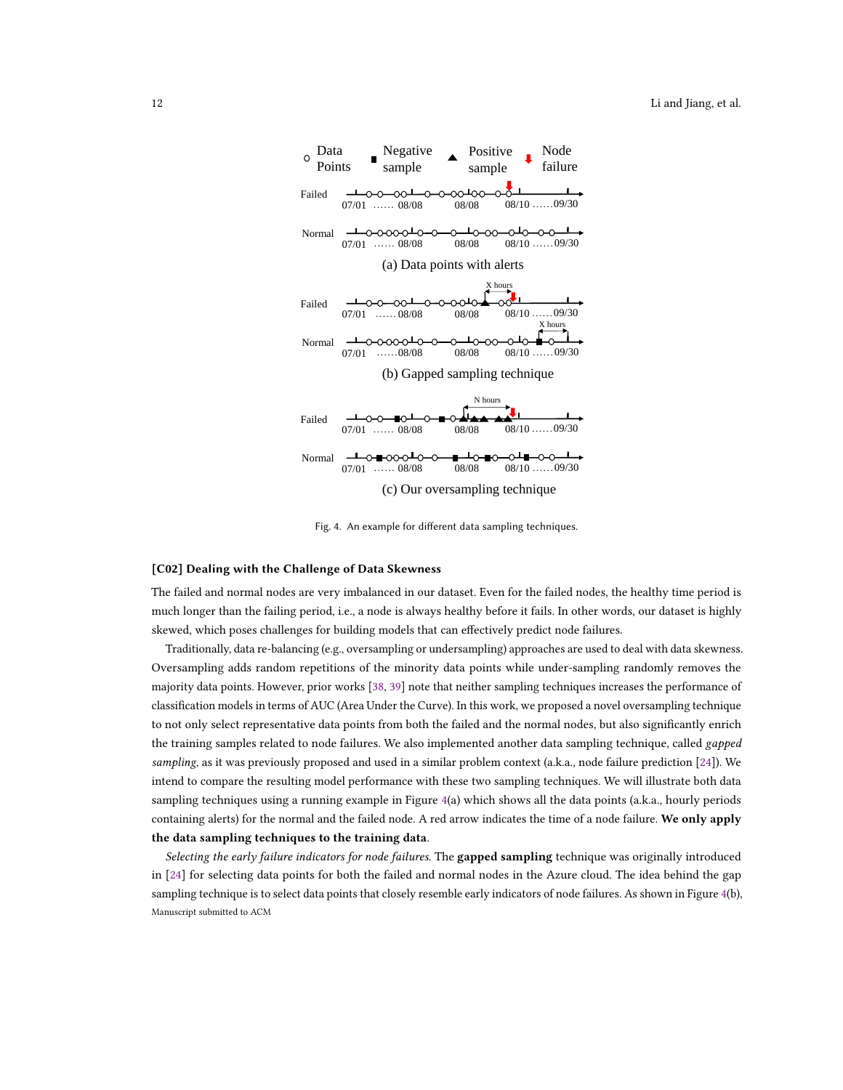<span id="page-11-0"></span>

Fig. 4. An example for different data sampling techniques.

#### [C02] Dealing with the Challenge of Data Skewness

The failed and normal nodes are very imbalanced in our dataset. Even for the failed nodes, the healthy time period is much longer than the failing period, i.e., a node is always healthy before it fails. In other words, our dataset is highly skewed, which poses challenges for building models that can effectively predict node failures.

Traditionally, data re-balancing (e.g., oversampling or undersampling) approaches are used to deal with data skewness. Oversampling adds random repetitions of the minority data points while under-sampling randomly removes the majority data points. However, prior works [\[38,](#page-22-16) [39\]](#page-22-23) note that neither sampling techniques increases the performance of classification models in terms of AUC (Area Under the Curve). In this work, we proposed a novel oversampling technique to not only select representative data points from both the failed and the normal nodes, but also significantly enrich the training samples related to node failures. We also implemented another data sampling technique, called gapped sampling, as it was previously proposed and used in a similar problem context (a.k.a., node failure prediction [\[24\]](#page-22-10)). We intend to compare the resulting model performance with these two sampling techniques. We will illustrate both data sampling techniques using a running example in Figure [4\(](#page-11-0)a) which shows all the data points (a.k.a., hourly periods containing alerts) for the normal and the failed node. A red arrow indicates the time of a node failure. We only apply the data sampling techniques to the training data.

Selecting the early failure indicators for node failures. The gapped sampling technique was originally introduced in [\[24\]](#page-22-10) for selecting data points for both the failed and normal nodes in the Azure cloud. The idea behind the gap sampling technique is to select data points that closely resemble early indicators of node failures. As shown in Figure [4\(](#page-11-0)b), Manuscript submitted to ACM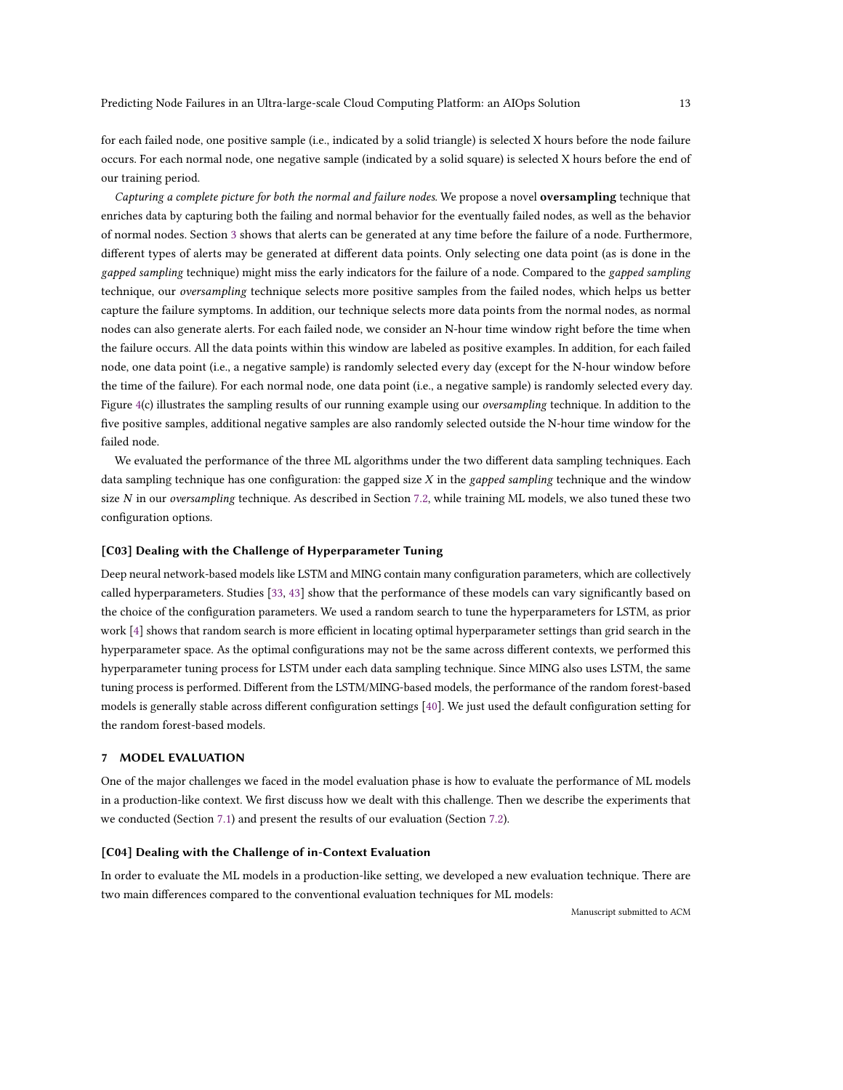for each failed node, one positive sample (i.e., indicated by a solid triangle) is selected X hours before the node failure occurs. For each normal node, one negative sample (indicated by a solid square) is selected X hours before the end of our training period.

Capturing a complete picture for both the normal and failure nodes. We propose a novel oversampling technique that enriches data by capturing both the failing and normal behavior for the eventually failed nodes, as well as the behavior of normal nodes. Section [3](#page-4-0) shows that alerts can be generated at any time before the failure of a node. Furthermore, different types of alerts may be generated at different data points. Only selecting one data point (as is done in the gapped sampling technique) might miss the early indicators for the failure of a node. Compared to the gapped sampling technique, our *oversampling* technique selects more positive samples from the failed nodes, which helps us better capture the failure symptoms. In addition, our technique selects more data points from the normal nodes, as normal nodes can also generate alerts. For each failed node, we consider an N-hour time window right before the time when the failure occurs. All the data points within this window are labeled as positive examples. In addition, for each failed node, one data point (i.e., a negative sample) is randomly selected every day (except for the N-hour window before the time of the failure). For each normal node, one data point (i.e., a negative sample) is randomly selected every day. Figure [4\(](#page-11-0)c) illustrates the sampling results of our running example using our *oversampling* technique. In addition to the five positive samples, additional negative samples are also randomly selected outside the N-hour time window for the failed node.

We evaluated the performance of the three ML algorithms under the two different data sampling techniques. Each data sampling technique has one configuration: the gapped size  $X$  in the *gapped sampling* technique and the window size N in our oversampling technique. As described in Section [7.2,](#page-13-1) while training ML models, we also tuned these two configuration options.

### [C03] Dealing with the Challenge of Hyperparameter Tuning

Deep neural network-based models like LSTM and MING contain many configuration parameters, which are collectively called hyperparameters. Studies [\[33,](#page-22-25) [43\]](#page-22-19) show that the performance of these models can vary significantly based on the choice of the configuration parameters. We used a random search to tune the hyperparameters for LSTM, as prior work [\[4\]](#page-21-14) shows that random search is more efficient in locating optimal hyperparameter settings than grid search in the hyperparameter space. As the optimal configurations may not be the same across different contexts, we performed this hyperparameter tuning process for LSTM under each data sampling technique. Since MING also uses LSTM, the same tuning process is performed. Different from the LSTM/MING-based models, the performance of the random forest-based models is generally stable across different configuration settings [\[40\]](#page-22-17). We just used the default configuration setting for the random forest-based models.

#### <span id="page-12-0"></span>7 MODEL EVALUATION

One of the major challenges we faced in the model evaluation phase is how to evaluate the performance of ML models in a production-like context. We first discuss how we dealt with this challenge. Then we describe the experiments that we conducted (Section [7.1\)](#page-13-0) and present the results of our evaluation (Section [7.2\)](#page-13-1).

#### [C04] Dealing with the Challenge of in-Context Evaluation

In order to evaluate the ML models in a production-like setting, we developed a new evaluation technique. There are two main differences compared to the conventional evaluation techniques for ML models: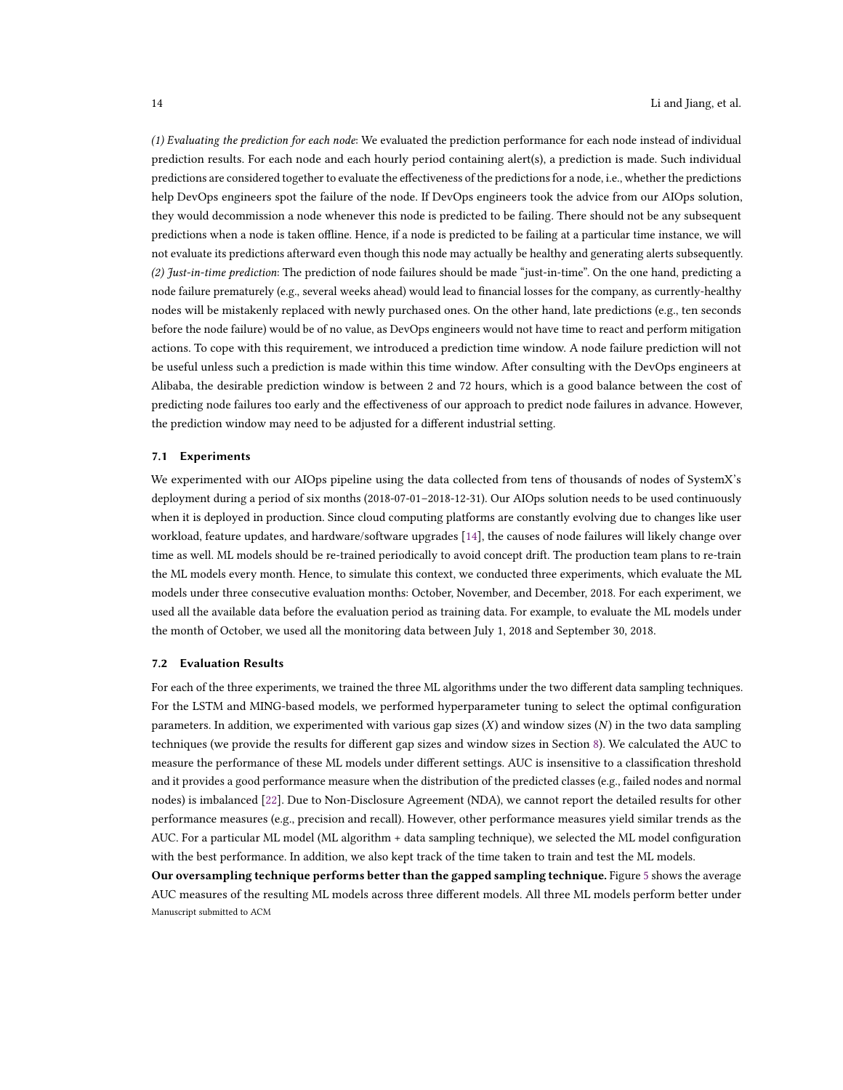(1) Evaluating the prediction for each node: We evaluated the prediction performance for each node instead of individual prediction results. For each node and each hourly period containing alert(s), a prediction is made. Such individual predictions are considered together to evaluate the effectiveness of the predictions for a node, i.e., whether the predictions help DevOps engineers spot the failure of the node. If DevOps engineers took the advice from our AIOps solution, they would decommission a node whenever this node is predicted to be failing. There should not be any subsequent predictions when a node is taken offline. Hence, if a node is predicted to be failing at a particular time instance, we will not evaluate its predictions afterward even though this node may actually be healthy and generating alerts subsequently. (2) Just-in-time prediction: The prediction of node failures should be made "just-in-time". On the one hand, predicting a node failure prematurely (e.g., several weeks ahead) would lead to financial losses for the company, as currently-healthy nodes will be mistakenly replaced with newly purchased ones. On the other hand, late predictions (e.g., ten seconds before the node failure) would be of no value, as DevOps engineers would not have time to react and perform mitigation actions. To cope with this requirement, we introduced a prediction time window. A node failure prediction will not be useful unless such a prediction is made within this time window. After consulting with the DevOps engineers at Alibaba, the desirable prediction window is between 2 and 72 hours, which is a good balance between the cost of predicting node failures too early and the effectiveness of our approach to predict node failures in advance. However, the prediction window may need to be adjusted for a different industrial setting.

#### <span id="page-13-0"></span>7.1 Experiments

We experimented with our AIOps pipeline using the data collected from tens of thousands of nodes of SystemX's deployment during a period of six months (2018-07-01–2018-12-31). Our AIOps solution needs to be used continuously when it is deployed in production. Since cloud computing platforms are constantly evolving due to changes like user workload, feature updates, and hardware/software upgrades [\[14\]](#page-21-15), the causes of node failures will likely change over time as well. ML models should be re-trained periodically to avoid concept drift. The production team plans to re-train the ML models every month. Hence, to simulate this context, we conducted three experiments, which evaluate the ML models under three consecutive evaluation months: October, November, and December, 2018. For each experiment, we used all the available data before the evaluation period as training data. For example, to evaluate the ML models under the month of October, we used all the monitoring data between July 1, 2018 and September 30, 2018.

#### <span id="page-13-1"></span>7.2 Evaluation Results

For each of the three experiments, we trained the three ML algorithms under the two different data sampling techniques. For the LSTM and MING-based models, we performed hyperparameter tuning to select the optimal configuration parameters. In addition, we experimented with various gap sizes (X) and window sizes (N) in the two data sampling techniques (we provide the results for different gap sizes and window sizes in Section [8\)](#page-15-0). We calculated the AUC to measure the performance of these ML models under different settings. AUC is insensitive to a classification threshold and it provides a good performance measure when the distribution of the predicted classes (e.g., failed nodes and normal nodes) is imbalanced [\[22\]](#page-22-26). Due to Non-Disclosure Agreement (NDA), we cannot report the detailed results for other performance measures (e.g., precision and recall). However, other performance measures yield similar trends as the AUC. For a particular ML model (ML algorithm + data sampling technique), we selected the ML model configuration with the best performance. In addition, we also kept track of the time taken to train and test the ML models.

Our oversampling technique performs better than the gapped sampling technique. Figure [5](#page-14-0) shows the average AUC measures of the resulting ML models across three different models. All three ML models perform better under Manuscript submitted to ACM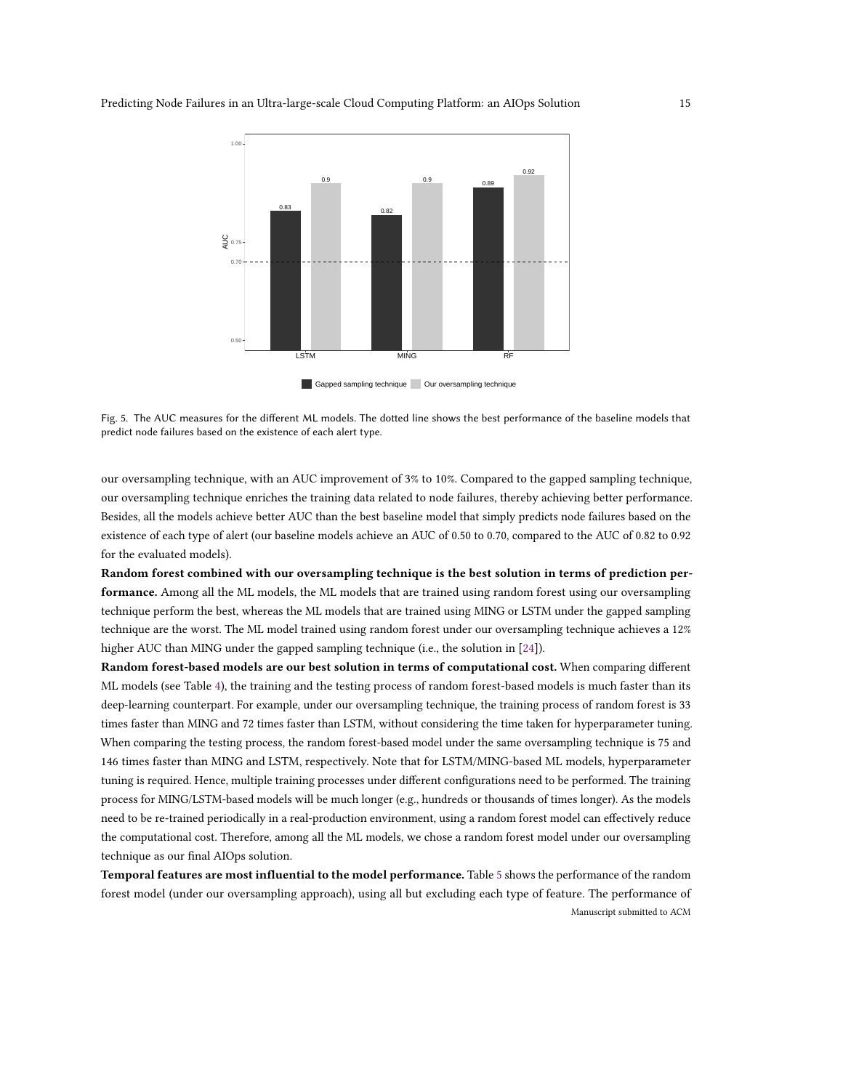<span id="page-14-0"></span>

Gapped sampling technique Our oversampling technique

Fig. 5. The AUC measures for the different ML models. The dotted line shows the best performance of the baseline models that predict node failures based on the existence of each alert type.

our oversampling technique, with an AUC improvement of 3% to 10%. Compared to the gapped sampling technique, our oversampling technique enriches the training data related to node failures, thereby achieving better performance. Besides, all the models achieve better AUC than the best baseline model that simply predicts node failures based on the existence of each type of alert (our baseline models achieve an AUC of 0.50 to 0.70, compared to the AUC of 0.82 to 0.92 for the evaluated models).

Random forest combined with our oversampling technique is the best solution in terms of prediction performance. Among all the ML models, the ML models that are trained using random forest using our oversampling technique perform the best, whereas the ML models that are trained using MING or LSTM under the gapped sampling technique are the worst. The ML model trained using random forest under our oversampling technique achieves a 12% higher AUC than MING under the gapped sampling technique (i.e., the solution in [\[24\]](#page-22-10)).

Random forest-based models are our best solution in terms of computational cost. When comparing different ML models (see Table [4\)](#page-15-1), the training and the testing process of random forest-based models is much faster than its deep-learning counterpart. For example, under our oversampling technique, the training process of random forest is 33 times faster than MING and 72 times faster than LSTM, without considering the time taken for hyperparameter tuning. When comparing the testing process, the random forest-based model under the same oversampling technique is 75 and 146 times faster than MING and LSTM, respectively. Note that for LSTM/MING-based ML models, hyperparameter tuning is required. Hence, multiple training processes under different configurations need to be performed. The training process for MING/LSTM-based models will be much longer (e.g., hundreds or thousands of times longer). As the models need to be re-trained periodically in a real-production environment, using a random forest model can effectively reduce the computational cost. Therefore, among all the ML models, we chose a random forest model under our oversampling technique as our final AIOps solution.

Temporal features are most influential to the model performance. Table [5](#page-15-2) shows the performance of the random forest model (under our oversampling approach), using all but excluding each type of feature. The performance of Manuscript submitted to ACM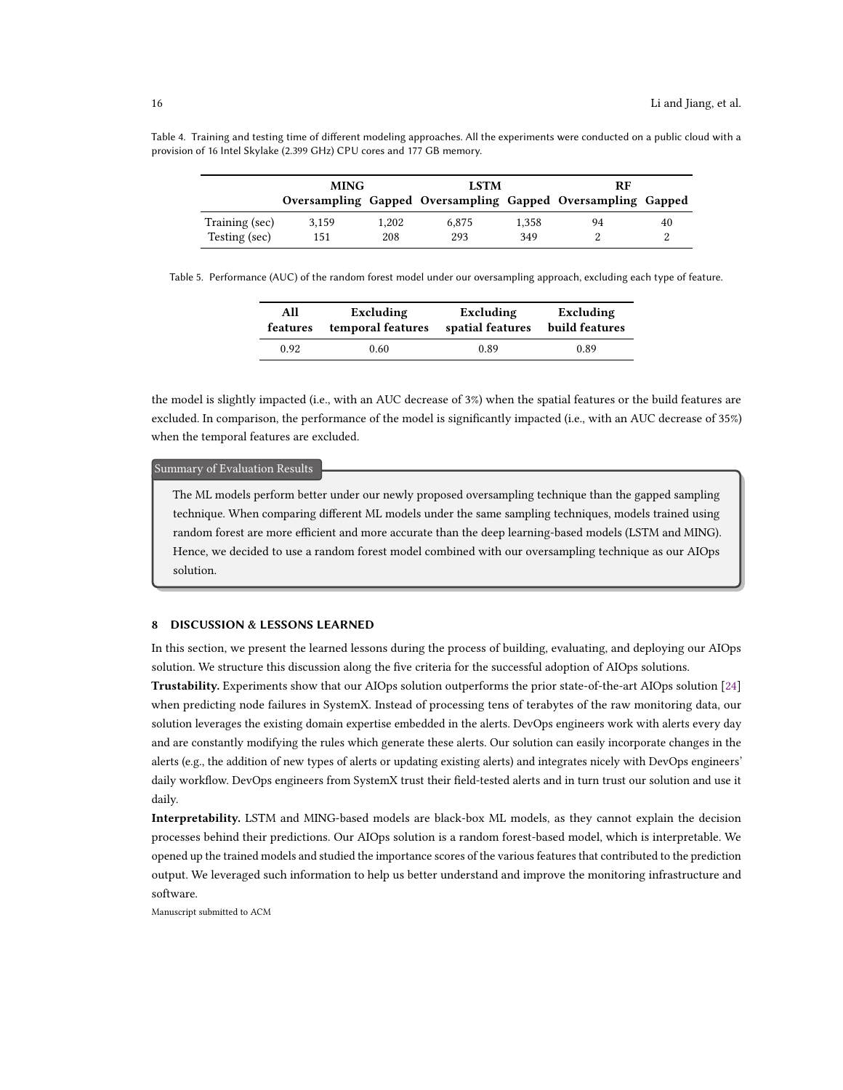|                | <b>MING</b> |       | <b>LSTM</b>                                                 |       | <b>RF</b> |    |
|----------------|-------------|-------|-------------------------------------------------------------|-------|-----------|----|
|                |             |       | Oversampling Gapped Oversampling Gapped Oversampling Gapped |       |           |    |
| Training (sec) | 3.159       | 1.202 | 6.875                                                       | 1.358 | 94        | 40 |
| Testing (sec)  | 151         | 208   | 293                                                         | 349   |           |    |

<span id="page-15-1"></span>Table 4. Training and testing time of different modeling approaches. All the experiments were conducted on a public cloud with a provision of 16 Intel Skylake (2.399 GHz) CPU cores and 177 GB memory.

<span id="page-15-2"></span>Table 5. Performance (AUC) of the random forest model under our oversampling approach, excluding each type of feature.

| All      | Excluding         | Excluding        | Excluding      |
|----------|-------------------|------------------|----------------|
| features | temporal features | spatial features | build features |
| 0.92     | 0.60              | 0.89             | 0.89           |

the model is slightly impacted (i.e., with an AUC decrease of 3%) when the spatial features or the build features are excluded. In comparison, the performance of the model is significantly impacted (i.e., with an AUC decrease of 35%) when the temporal features are excluded.

#### : Summary of Evaluation Results

The ML models perform better under our newly proposed oversampling technique than the gapped sampling technique. When comparing different ML models under the same sampling techniques, models trained using random forest are more efficient and more accurate than the deep learning-based models (LSTM and MING). Hence, we decided to use a random forest model combined with our oversampling technique as our AIOps solution.

#### <span id="page-15-0"></span>8 DISCUSSION & LESSONS LEARNED

In this section, we present the learned lessons during the process of building, evaluating, and deploying our AIOps solution. We structure this discussion along the five criteria for the successful adoption of AIOps solutions.

Trustability. Experiments show that our AIOps solution outperforms the prior state-of-the-art AIOps solution [\[24\]](#page-22-10) when predicting node failures in SystemX. Instead of processing tens of terabytes of the raw monitoring data, our solution leverages the existing domain expertise embedded in the alerts. DevOps engineers work with alerts every day and are constantly modifying the rules which generate these alerts. Our solution can easily incorporate changes in the alerts (e.g., the addition of new types of alerts or updating existing alerts) and integrates nicely with DevOps engineers' daily workflow. DevOps engineers from SystemX trust their field-tested alerts and in turn trust our solution and use it daily.

Interpretability. LSTM and MING-based models are black-box ML models, as they cannot explain the decision processes behind their predictions. Our AIOps solution is a random forest-based model, which is interpretable. We opened up the trained models and studied the importance scores of the various features that contributed to the prediction output. We leveraged such information to help us better understand and improve the monitoring infrastructure and software.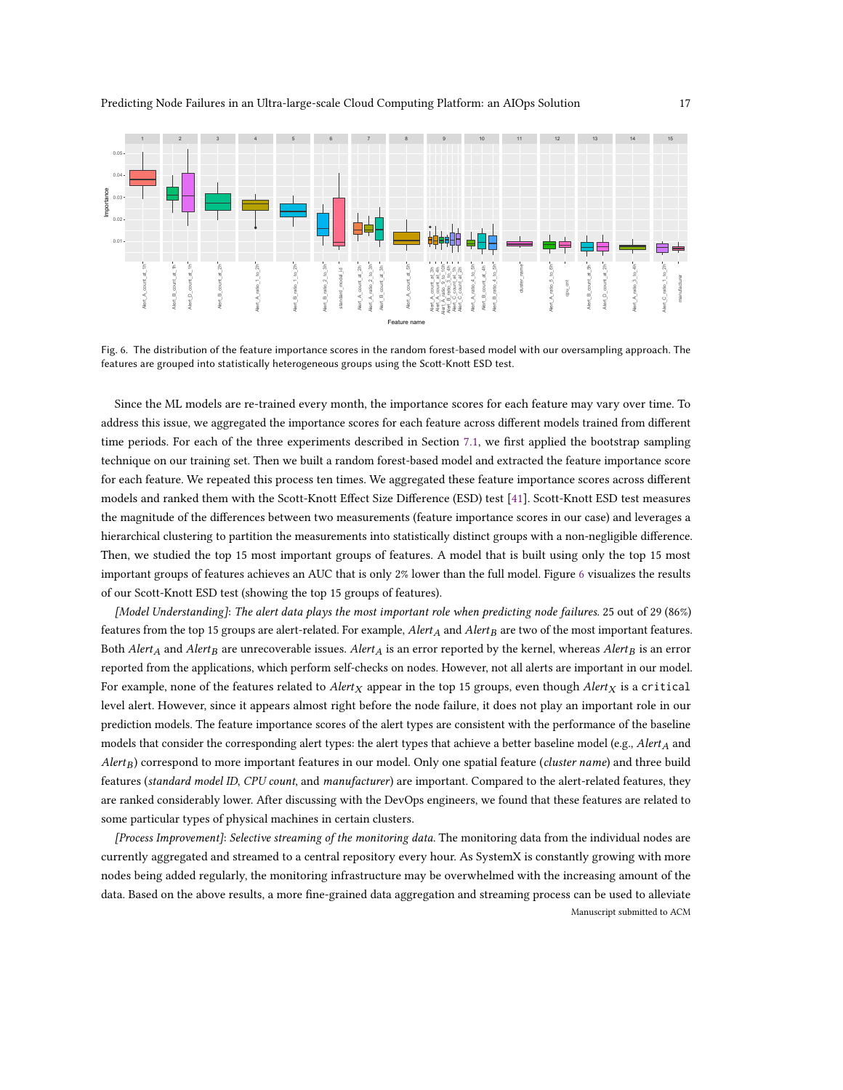<span id="page-16-0"></span>

Fig. 6. The distribution of the feature importance scores in the random forest-based model with our oversampling approach. The features are grouped into statistically heterogeneous groups using the Scott-Knott ESD test.

Since the ML models are re-trained every month, the importance scores for each feature may vary over time. To address this issue, we aggregated the importance scores for each feature across different models trained from different time periods. For each of the three experiments described in Section [7.1,](#page-13-0) we first applied the bootstrap sampling technique on our training set. Then we built a random forest-based model and extracted the feature importance score for each feature. We repeated this process ten times. We aggregated these feature importance scores across different models and ranked them with the Scott-Knott Effect Size Difference (ESD) test [\[41\]](#page-22-27). Scott-Knott ESD test measures the magnitude of the differences between two measurements (feature importance scores in our case) and leverages a hierarchical clustering to partition the measurements into statistically distinct groups with a non-negligible difference. Then, we studied the top 15 most important groups of features. A model that is built using only the top 15 most important groups of features achieves an AUC that is only 2% lower than the full model. Figure [6](#page-16-0) visualizes the results of our Scott-Knott ESD test (showing the top 15 groups of features).

[Model Understanding]: The alert data plays the most important role when predicting node failures. 25 out of 29 (86%) features from the top 15 groups are alert-related. For example,  $Alert_A$  and  $Alert_B$  are two of the most important features. Both Alert<sub>A</sub> and Alert<sub>B</sub> are unrecoverable issues. Alert<sub>A</sub> is an error reported by the kernel, whereas Alert<sub>B</sub> is an error reported from the applications, which perform self-checks on nodes. However, not all alerts are important in our model. For example, none of the features related to Alert<sub>X</sub> appear in the top 15 groups, even though Alert<sub>X</sub> is a critical level alert. However, since it appears almost right before the node failure, it does not play an important role in our prediction models. The feature importance scores of the alert types are consistent with the performance of the baseline models that consider the corresponding alert types: the alert types that achieve a better baseline model (e.g., Alert<sub>A</sub> and  $A$ lert<sub>B</sub>) correspond to more important features in our model. Only one spatial feature (cluster name) and three build features (standard model ID, CPU count, and manufacturer) are important. Compared to the alert-related features, they are ranked considerably lower. After discussing with the DevOps engineers, we found that these features are related to some particular types of physical machines in certain clusters.

[Process Improvement]: Selective streaming of the monitoring data. The monitoring data from the individual nodes are currently aggregated and streamed to a central repository every hour. As SystemX is constantly growing with more nodes being added regularly, the monitoring infrastructure may be overwhelmed with the increasing amount of the data. Based on the above results, a more fine-grained data aggregation and streaming process can be used to alleviate Manuscript submitted to ACM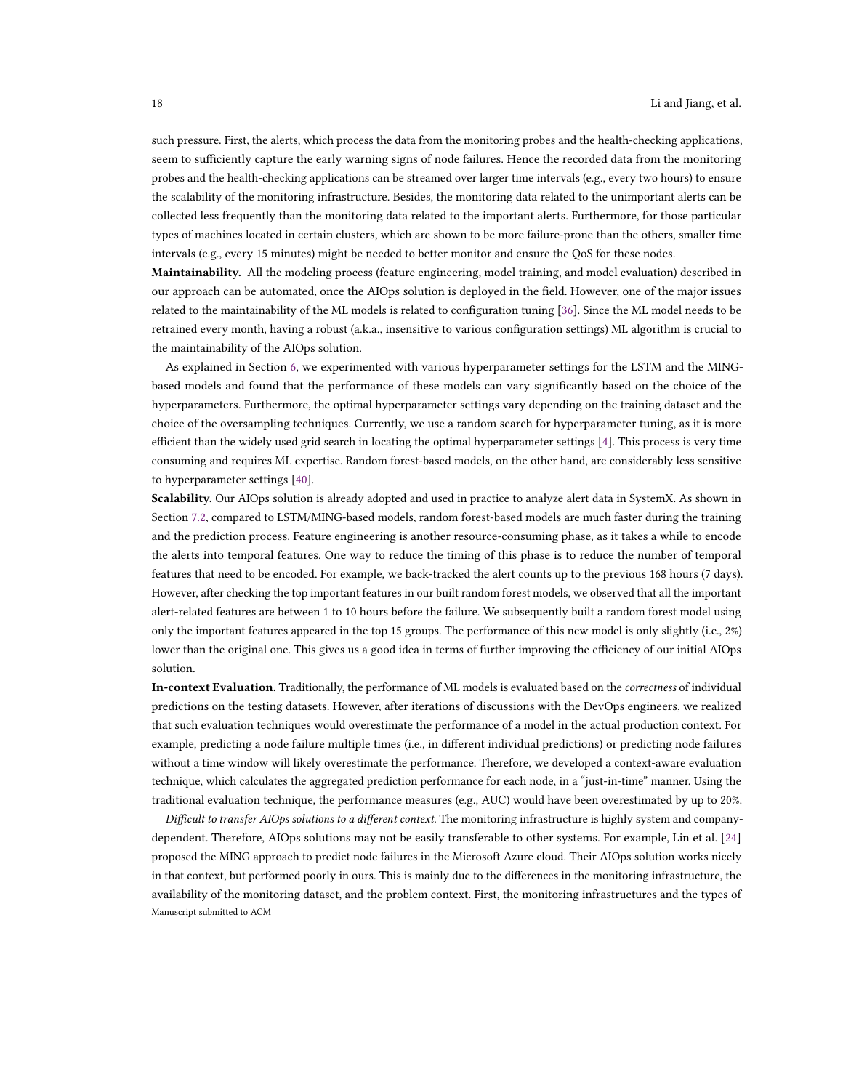such pressure. First, the alerts, which process the data from the monitoring probes and the health-checking applications, seem to sufficiently capture the early warning signs of node failures. Hence the recorded data from the monitoring probes and the health-checking applications can be streamed over larger time intervals (e.g., every two hours) to ensure the scalability of the monitoring infrastructure. Besides, the monitoring data related to the unimportant alerts can be collected less frequently than the monitoring data related to the important alerts. Furthermore, for those particular types of machines located in certain clusters, which are shown to be more failure-prone than the others, smaller time intervals (e.g., every 15 minutes) might be needed to better monitor and ensure the QoS for these nodes.

Maintainability. All the modeling process (feature engineering, model training, and model evaluation) described in our approach can be automated, once the AIOps solution is deployed in the field. However, one of the major issues related to the maintainability of the ML models is related to configuration tuning [\[36\]](#page-22-8). Since the ML model needs to be retrained every month, having a robust (a.k.a., insensitive to various configuration settings) ML algorithm is crucial to the maintainability of the AIOps solution.

As explained in Section [6,](#page-10-0) we experimented with various hyperparameter settings for the LSTM and the MINGbased models and found that the performance of these models can vary significantly based on the choice of the hyperparameters. Furthermore, the optimal hyperparameter settings vary depending on the training dataset and the choice of the oversampling techniques. Currently, we use a random search for hyperparameter tuning, as it is more efficient than the widely used grid search in locating the optimal hyperparameter settings [\[4\]](#page-21-14). This process is very time consuming and requires ML expertise. Random forest-based models, on the other hand, are considerably less sensitive to hyperparameter settings [\[40\]](#page-22-17).

Scalability. Our AIOps solution is already adopted and used in practice to analyze alert data in SystemX. As shown in Section [7.2,](#page-13-1) compared to LSTM/MING-based models, random forest-based models are much faster during the training and the prediction process. Feature engineering is another resource-consuming phase, as it takes a while to encode the alerts into temporal features. One way to reduce the timing of this phase is to reduce the number of temporal features that need to be encoded. For example, we back-tracked the alert counts up to the previous 168 hours (7 days). However, after checking the top important features in our built random forest models, we observed that all the important alert-related features are between 1 to 10 hours before the failure. We subsequently built a random forest model using only the important features appeared in the top 15 groups. The performance of this new model is only slightly (i.e., 2%) lower than the original one. This gives us a good idea in terms of further improving the efficiency of our initial AIOps solution.

In-context Evaluation. Traditionally, the performance of ML models is evaluated based on the correctness of individual predictions on the testing datasets. However, after iterations of discussions with the DevOps engineers, we realized that such evaluation techniques would overestimate the performance of a model in the actual production context. For example, predicting a node failure multiple times (i.e., in different individual predictions) or predicting node failures without a time window will likely overestimate the performance. Therefore, we developed a context-aware evaluation technique, which calculates the aggregated prediction performance for each node, in a "just-in-time" manner. Using the traditional evaluation technique, the performance measures (e.g., AUC) would have been overestimated by up to 20%.

Difficult to transfer AIOps solutions to a different context. The monitoring infrastructure is highly system and companydependent. Therefore, AIOps solutions may not be easily transferable to other systems. For example, Lin et al. [\[24\]](#page-22-10) proposed the MING approach to predict node failures in the Microsoft Azure cloud. Their AIOps solution works nicely in that context, but performed poorly in ours. This is mainly due to the differences in the monitoring infrastructure, the availability of the monitoring dataset, and the problem context. First, the monitoring infrastructures and the types of Manuscript submitted to ACM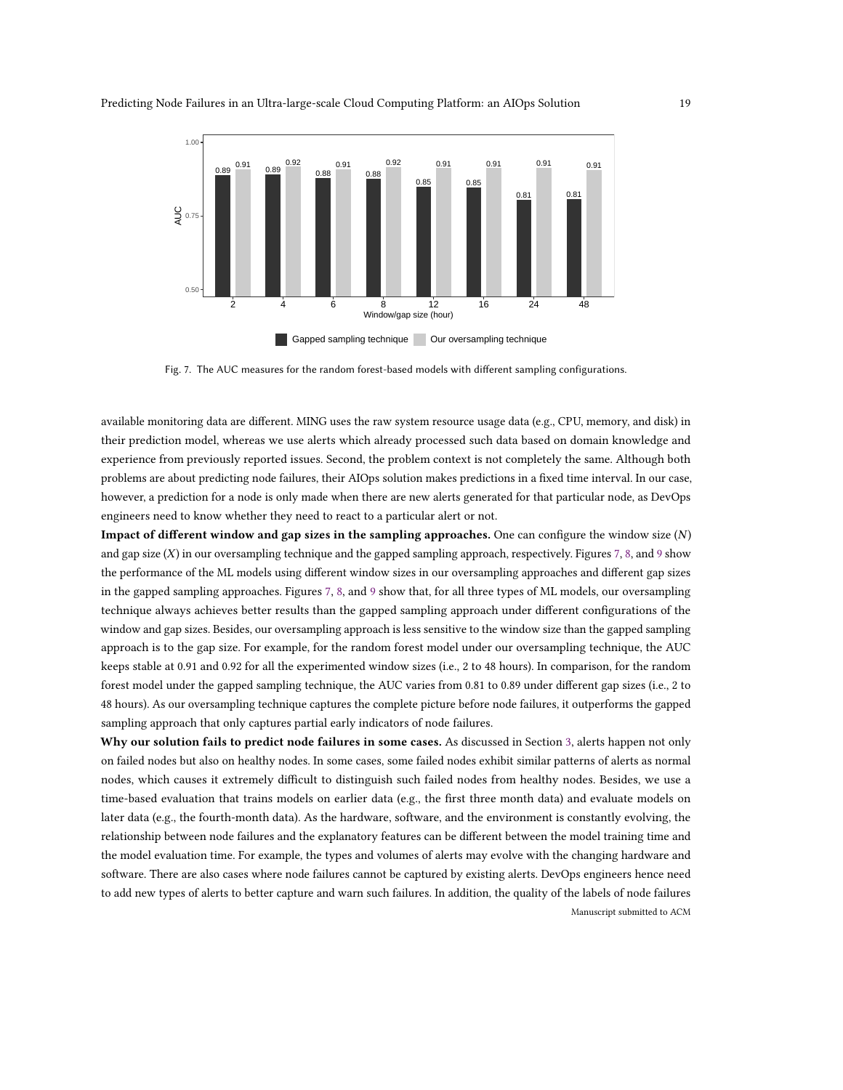<span id="page-18-0"></span>



Fig. 7. The AUC measures for the random forest-based models with different sampling configurations.

available monitoring data are different. MING uses the raw system resource usage data (e.g., CPU, memory, and disk) in their prediction model, whereas we use alerts which already processed such data based on domain knowledge and experience from previously reported issues. Second, the problem context is not completely the same. Although both problems are about predicting node failures, their AIOps solution makes predictions in a fixed time interval. In our case, however, a prediction for a node is only made when there are new alerts generated for that particular node, as DevOps engineers need to know whether they need to react to a particular alert or not.

Impact of different window and gap sizes in the sampling approaches. One can configure the window size  $(N)$ and gap size (X) in our oversampling technique and the gapped sampling approach, respectively. Figures [7,](#page-18-0) [8,](#page-19-1) and [9](#page-19-2) show the performance of the ML models using different window sizes in our oversampling approaches and different gap sizes in the gapped sampling approaches. Figures [7,](#page-18-0) [8,](#page-19-1) and [9](#page-19-2) show that, for all three types of ML models, our oversampling technique always achieves better results than the gapped sampling approach under different configurations of the window and gap sizes. Besides, our oversampling approach is less sensitive to the window size than the gapped sampling approach is to the gap size. For example, for the random forest model under our oversampling technique, the AUC keeps stable at 0.91 and 0.92 for all the experimented window sizes (i.e., 2 to 48 hours). In comparison, for the random forest model under the gapped sampling technique, the AUC varies from 0.81 to 0.89 under different gap sizes (i.e., 2 to 48 hours). As our oversampling technique captures the complete picture before node failures, it outperforms the gapped sampling approach that only captures partial early indicators of node failures.

Why our solution fails to predict node failures in some cases. As discussed in Section [3,](#page-4-0) alerts happen not only on failed nodes but also on healthy nodes. In some cases, some failed nodes exhibit similar patterns of alerts as normal nodes, which causes it extremely difficult to distinguish such failed nodes from healthy nodes. Besides, we use a time-based evaluation that trains models on earlier data (e.g., the first three month data) and evaluate models on later data (e.g., the fourth-month data). As the hardware, software, and the environment is constantly evolving, the relationship between node failures and the explanatory features can be different between the model training time and the model evaluation time. For example, the types and volumes of alerts may evolve with the changing hardware and software. There are also cases where node failures cannot be captured by existing alerts. DevOps engineers hence need to add new types of alerts to better capture and warn such failures. In addition, the quality of the labels of node failures Manuscript submitted to ACM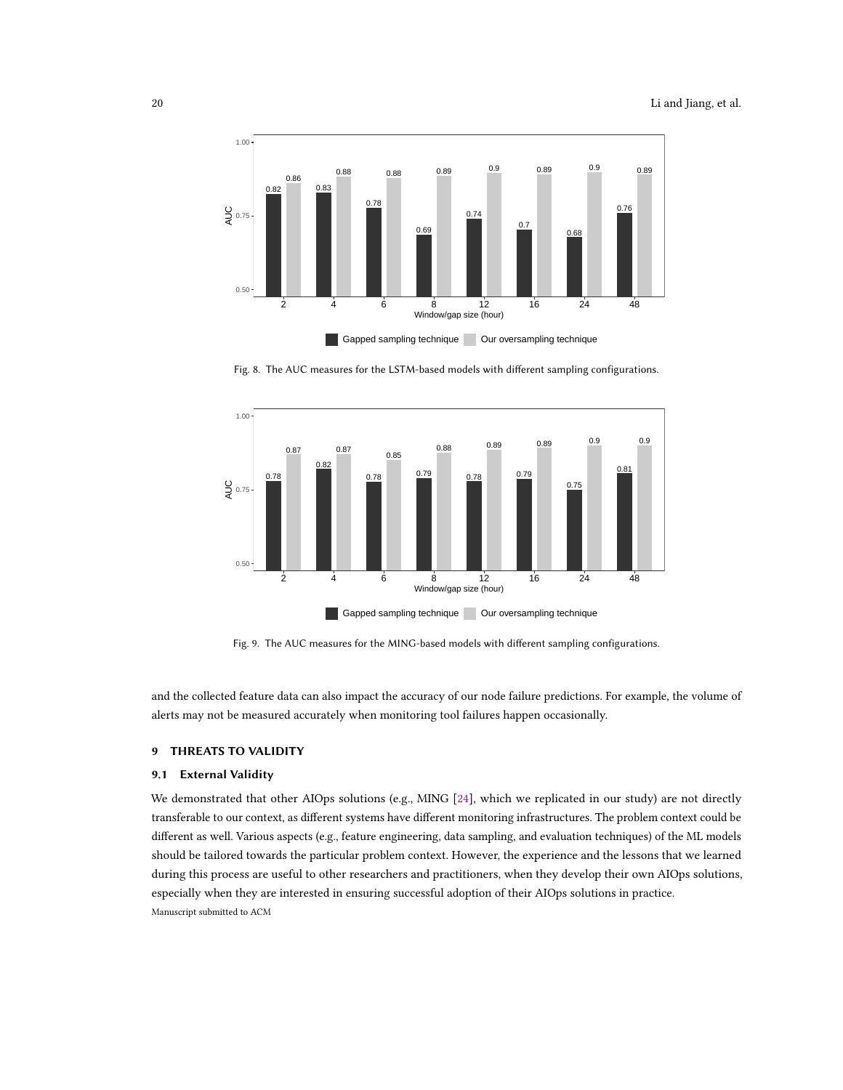<span id="page-19-1"></span>

Gapped sampling technique Our oversampling technique

Fig. 8. The AUC measures for the LSTM-based models with different sampling configurations.

<span id="page-19-2"></span>

Fig. 9. The AUC measures for the MING-based models with different sampling configurations.

and the collected feature data can also impact the accuracy of our node failure predictions. For example, the volume of alerts may not be measured accurately when monitoring tool failures happen occasionally.

### <span id="page-19-0"></span>9 THREATS TO VALIDITY

## 9.1 External Validity

We demonstrated that other AIOps solutions (e.g., MING [\[24\]](#page-22-10), which we replicated in our study) are not directly transferable to our context, as different systems have different monitoring infrastructures. The problem context could be different as well. Various aspects (e.g., feature engineering, data sampling, and evaluation techniques) of the ML models should be tailored towards the particular problem context. However, the experience and the lessons that we learned during this process are useful to other researchers and practitioners, when they develop their own AIOps solutions, especially when they are interested in ensuring successful adoption of their AIOps solutions in practice. Manuscript submitted to ACM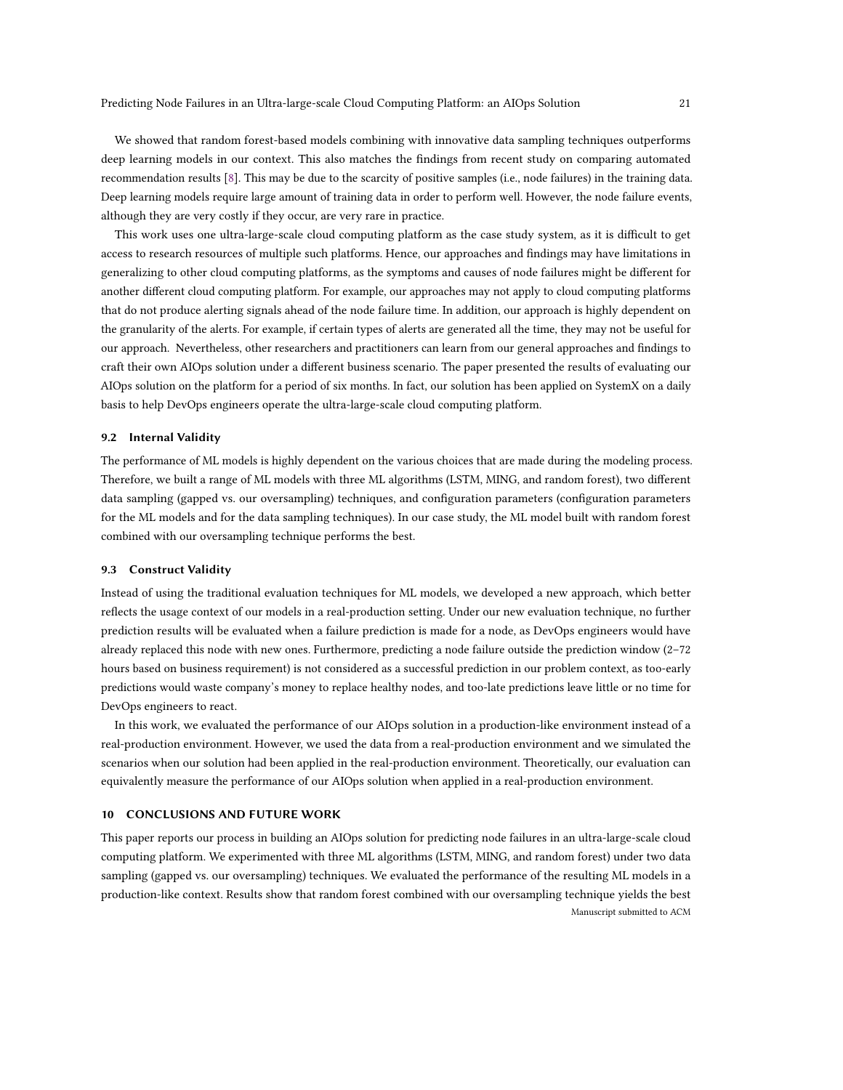We showed that random forest-based models combining with innovative data sampling techniques outperforms deep learning models in our context. This also matches the findings from recent study on comparing automated recommendation results [\[8\]](#page-21-16). This may be due to the scarcity of positive samples (i.e., node failures) in the training data. Deep learning models require large amount of training data in order to perform well. However, the node failure events, although they are very costly if they occur, are very rare in practice.

This work uses one ultra-large-scale cloud computing platform as the case study system, as it is difficult to get access to research resources of multiple such platforms. Hence, our approaches and findings may have limitations in generalizing to other cloud computing platforms, as the symptoms and causes of node failures might be different for another different cloud computing platform. For example, our approaches may not apply to cloud computing platforms that do not produce alerting signals ahead of the node failure time. In addition, our approach is highly dependent on the granularity of the alerts. For example, if certain types of alerts are generated all the time, they may not be useful for our approach. Nevertheless, other researchers and practitioners can learn from our general approaches and findings to craft their own AIOps solution under a different business scenario. The paper presented the results of evaluating our AIOps solution on the platform for a period of six months. In fact, our solution has been applied on SystemX on a daily basis to help DevOps engineers operate the ultra-large-scale cloud computing platform.

#### 9.2 Internal Validity

The performance of ML models is highly dependent on the various choices that are made during the modeling process. Therefore, we built a range of ML models with three ML algorithms (LSTM, MING, and random forest), two different data sampling (gapped vs. our oversampling) techniques, and configuration parameters (configuration parameters for the ML models and for the data sampling techniques). In our case study, the ML model built with random forest combined with our oversampling technique performs the best.

#### 9.3 Construct Validity

Instead of using the traditional evaluation techniques for ML models, we developed a new approach, which better reflects the usage context of our models in a real-production setting. Under our new evaluation technique, no further prediction results will be evaluated when a failure prediction is made for a node, as DevOps engineers would have already replaced this node with new ones. Furthermore, predicting a node failure outside the prediction window (2–72 hours based on business requirement) is not considered as a successful prediction in our problem context, as too-early predictions would waste company's money to replace healthy nodes, and too-late predictions leave little or no time for DevOps engineers to react.

In this work, we evaluated the performance of our AIOps solution in a production-like environment instead of a real-production environment. However, we used the data from a real-production environment and we simulated the scenarios when our solution had been applied in the real-production environment. Theoretically, our evaluation can equivalently measure the performance of our AIOps solution when applied in a real-production environment.

#### <span id="page-20-0"></span>10 CONCLUSIONS AND FUTURE WORK

This paper reports our process in building an AIOps solution for predicting node failures in an ultra-large-scale cloud computing platform. We experimented with three ML algorithms (LSTM, MING, and random forest) under two data sampling (gapped vs. our oversampling) techniques. We evaluated the performance of the resulting ML models in a production-like context. Results show that random forest combined with our oversampling technique yields the best Manuscript submitted to ACM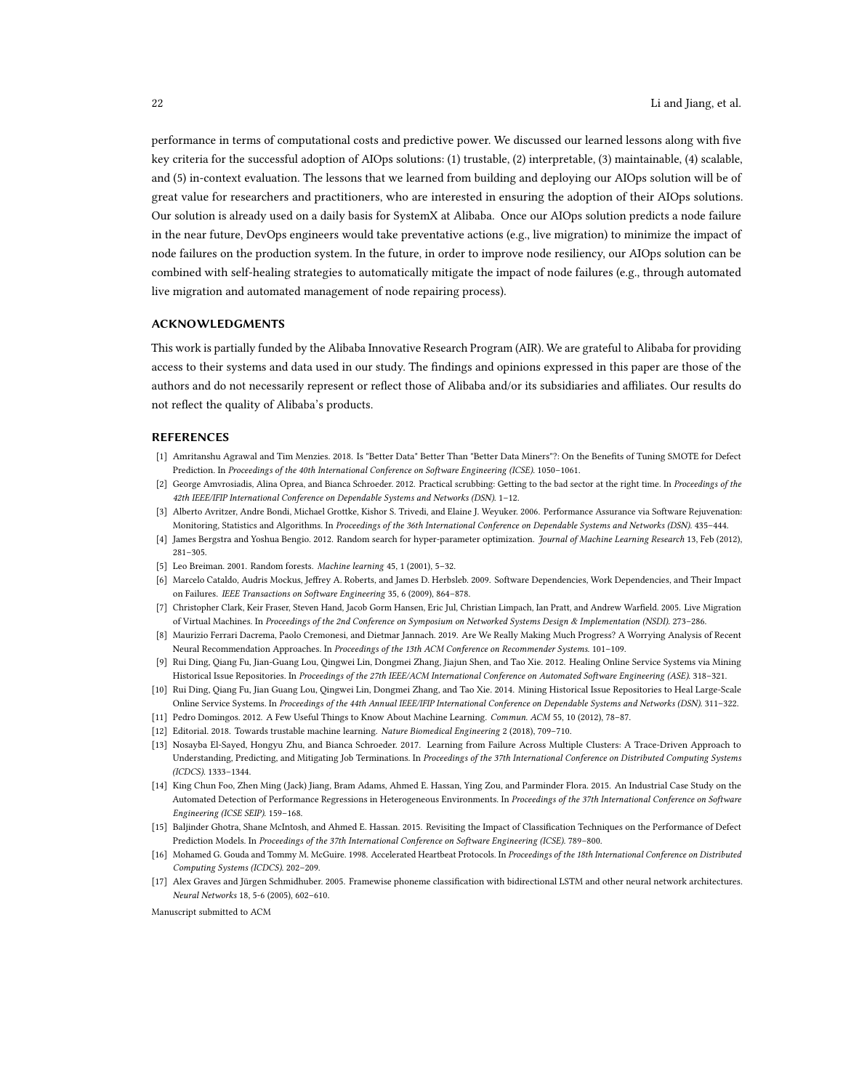performance in terms of computational costs and predictive power. We discussed our learned lessons along with five key criteria for the successful adoption of AIOps solutions: (1) trustable, (2) interpretable, (3) maintainable, (4) scalable, and (5) in-context evaluation. The lessons that we learned from building and deploying our AIOps solution will be of great value for researchers and practitioners, who are interested in ensuring the adoption of their AIOps solutions. Our solution is already used on a daily basis for SystemX at Alibaba. Once our AIOps solution predicts a node failure in the near future, DevOps engineers would take preventative actions (e.g., live migration) to minimize the impact of node failures on the production system. In the future, in order to improve node resiliency, our AIOps solution can be combined with self-healing strategies to automatically mitigate the impact of node failures (e.g., through automated live migration and automated management of node repairing process).

## ACKNOWLEDGMENTS

This work is partially funded by the Alibaba Innovative Research Program (AIR). We are grateful to Alibaba for providing access to their systems and data used in our study. The findings and opinions expressed in this paper are those of the authors and do not necessarily represent or reflect those of Alibaba and/or its subsidiaries and affiliates. Our results do not reflect the quality of Alibaba's products.

## REFERENCES

- <span id="page-21-8"></span>[1] Amritanshu Agrawal and Tim Menzies. 2018. Is "Better Data" Better Than "Better Data Miners"?: On the Benefits of Tuning SMOTE for Defect Prediction. In Proceedings of the 40th International Conference on Software Engineering (ICSE). 1050–1061.
- <span id="page-21-3"></span>[2] George Amvrosiadis, Alina Oprea, and Bianca Schroeder. 2012. Practical scrubbing: Getting to the bad sector at the right time. In Proceedings of the 42th IEEE/IFIP International Conference on Dependable Systems and Networks (DSN). 1–12.
- <span id="page-21-5"></span>[3] Alberto Avritzer, Andre Bondi, Michael Grottke, Kishor S. Trivedi, and Elaine J. Weyuker. 2006. Performance Assurance via Software Rejuvenation: Monitoring, Statistics and Algorithms. In Proceedings of the 36th International Conference on Dependable Systems and Networks (DSN). 435–444.
- <span id="page-21-14"></span>[4] James Bergstra and Yoshua Bengio. 2012. Random search for hyper-parameter optimization. Journal of Machine Learning Research 13, Feb (2012), 281–305.
- <span id="page-21-10"></span>[5] Leo Breiman. 2001. Random forests. Machine learning 45, 1 (2001), 5–32.
- <span id="page-21-12"></span>[6] Marcelo Cataldo, Audris Mockus, Jeffrey A. Roberts, and James D. Herbsleb. 2009. Software Dependencies, Work Dependencies, and Their Impact on Failures. IEEE Transactions on Software Engineering 35, 6 (2009), 864–878.
- <span id="page-21-4"></span>[7] Christopher Clark, Keir Fraser, Steven Hand, Jacob Gorm Hansen, Eric Jul, Christian Limpach, Ian Pratt, and Andrew Warfield. 2005. Live Migration of Virtual Machines. In Proceedings of the 2nd Conference on Symposium on Networked Systems Design & Implementation (NSDI). 273–286.
- <span id="page-21-16"></span>[8] Maurizio Ferrari Dacrema, Paolo Cremonesi, and Dietmar Jannach. 2019. Are We Really Making Much Progress? A Worrying Analysis of Recent Neural Recommendation Approaches. In Proceedings of the 13th ACM Conference on Recommender Systems. 101–109.
- <span id="page-21-6"></span>[9] Rui Ding, Qiang Fu, Jian-Guang Lou, Qingwei Lin, Dongmei Zhang, Jiajun Shen, and Tao Xie. 2012. Healing Online Service Systems via Mining Historical Issue Repositories. In Proceedings of the 27th IEEE/ACM International Conference on Automated Software Engineering (ASE). 318–321.
- <span id="page-21-7"></span>[10] Rui Ding, Qiang Fu, Jian Guang Lou, Qingwei Lin, Dongmei Zhang, and Tao Xie. 2014. Mining Historical Issue Repositories to Heal Large-Scale Online Service Systems. In Proceedings of the 44th Annual IEEE/IFIP International Conference on Dependable Systems and Networks (DSN). 311–322.
- <span id="page-21-9"></span>[11] Pedro Domingos. 2012. A Few Useful Things to Know About Machine Learning. Commun. ACM 55, 10 (2012), 78–87.
- <span id="page-21-1"></span>[12] Editorial. 2018. Towards trustable machine learning. Nature Biomedical Engineering 2 (2018), 709–710.
- <span id="page-21-0"></span>[13] Nosayba El-Sayed, Hongyu Zhu, and Bianca Schroeder. 2017. Learning from Failure Across Multiple Clusters: A Trace-Driven Approach to Understanding, Predicting, and Mitigating Job Terminations. In Proceedings of the 37th International Conference on Distributed Computing Systems (ICDCS). 1333–1344.
- <span id="page-21-15"></span>[14] King Chun Foo, Zhen Ming (Jack) Jiang, Bram Adams, Ahmed E. Hassan, Ying Zou, and Parminder Flora. 2015. An Industrial Case Study on the Automated Detection of Performance Regressions in Heterogeneous Environments. In Proceedings of the 37th International Conference on Software Engineering (ICSE SEIP). 159–168.
- <span id="page-21-13"></span>[15] Baljinder Ghotra, Shane McIntosh, and Ahmed E. Hassan. 2015. Revisiting the Impact of Classification Techniques on the Performance of Defect Prediction Models. In Proceedings of the 37th International Conference on Software Engineering (ICSE). 789–800.
- <span id="page-21-2"></span>[16] Mohamed G. Gouda and Tommy M. McGuire. 1998. Accelerated Heartbeat Protocols. In Proceedings of the 18th International Conference on Distributed Computing Systems (ICDCS). 202–209.
- <span id="page-21-11"></span>[17] Alex Graves and Jürgen Schmidhuber. 2005. Framewise phoneme classification with bidirectional LSTM and other neural network architectures. Neural Networks 18, 5-6 (2005), 602–610.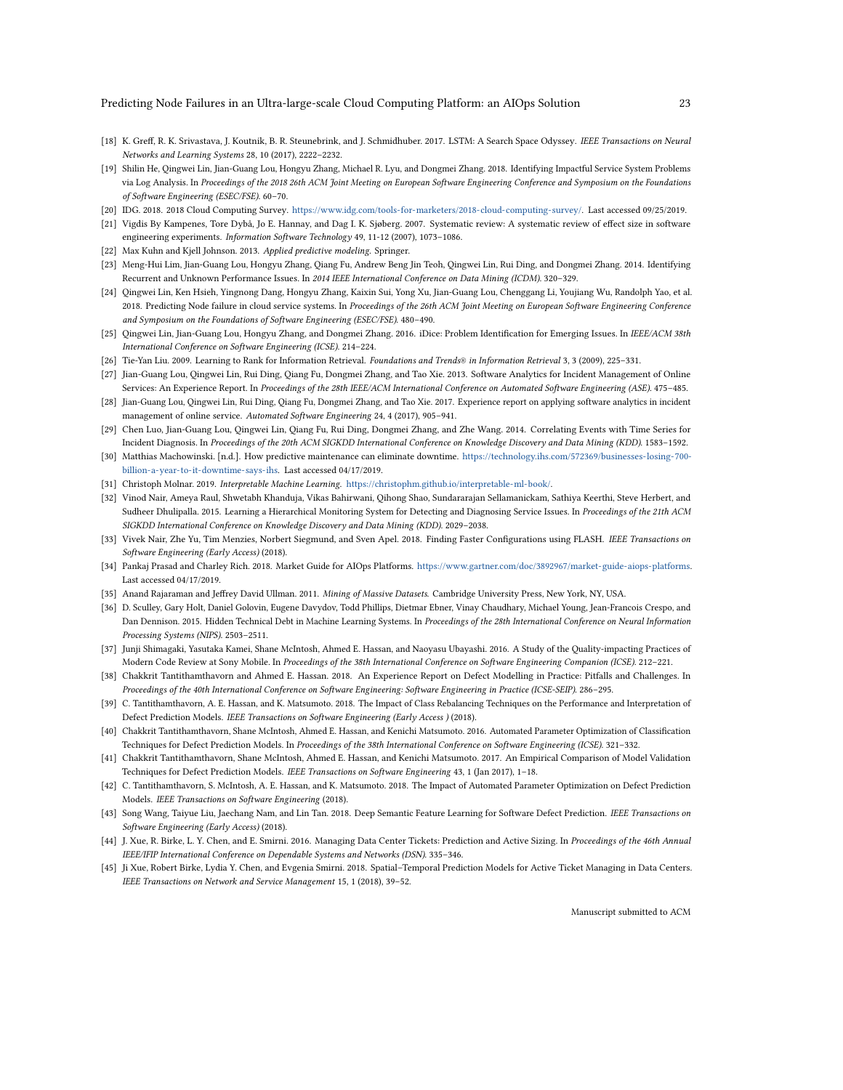- <span id="page-22-21"></span>[18] K. Greff, R. K. Srivastava, J. Koutnik, B. R. Steunebrink, and J. Schmidhuber. 2017. LSTM: A Search Space Odyssey. IEEE Transactions on Neural Networks and Learning Systems 28, 10 (2017), 2222–2232.
- <span id="page-22-3"></span>[19] Shilin He, Qingwei Lin, Jian-Guang Lou, Hongyu Zhang, Michael R. Lyu, and Dongmei Zhang. 2018. Identifying Impactful Service System Problems via Log Analysis. In Proceedings of the 2018 26th ACM Joint Meeting on European Software Engineering Conference and Symposium on the Foundations of Software Engineering (ESEC/FSE). 60–70.
- <span id="page-22-0"></span>[20] IDG. 2018. 2018 Cloud Computing Survey. [https://www.idg.com/tools-for-marketers/2018-cloud-computing-survey/.](https://www.idg.com/tools-for-marketers/2018-cloud-computing-survey/) Last accessed 09/25/2019.
- <span id="page-22-20"></span>[21] Vigdis By Kampenes, Tore Dybå, Jo E. Hannay, and Dag I. K. Sjøberg. 2007. Systematic review: A systematic review of effect size in software engineering experiments. Information Software Technology 49, 11-12 (2007), 1073–1086.
- <span id="page-22-26"></span>[22] Max Kuhn and Kjell Johnson. 2013. Applied predictive modeling. Springer.
- <span id="page-22-4"></span>[23] Meng-Hui Lim, Jian-Guang Lou, Hongyu Zhang, Qiang Fu, Andrew Beng Jin Teoh, Qingwei Lin, Rui Ding, and Dongmei Zhang. 2014. Identifying Recurrent and Unknown Performance Issues. In 2014 IEEE International Conference on Data Mining (ICDM). 320–329.
- <span id="page-22-10"></span>[24] Qingwei Lin, Ken Hsieh, Yingnong Dang, Hongyu Zhang, Kaixin Sui, Yong Xu, Jian-Guang Lou, Chenggang Li, Youjiang Wu, Randolph Yao, et al. 2018. Predicting Node failure in cloud service systems. In Proceedings of the 26th ACM Joint Meeting on European Software Engineering Conference and Symposium on the Foundations of Software Engineering (ESEC/FSE). 480–490.
- <span id="page-22-5"></span>[25] Qingwei Lin, Jian-Guang Lou, Hongyu Zhang, and Dongmei Zhang. 2016. iDice: Problem Identification for Emerging Issues. In IEEE/ACM 38th International Conference on Software Engineering (ICSE). 214–224.
- <span id="page-22-24"></span>[26] Tie-Yan Liu. 2009. Learning to Rank for Information Retrieval. Foundations and Trends® in Information Retrieval 3, 3 (2009), 225–331.
- <span id="page-22-13"></span>[27] Jian-Guang Lou, Qingwei Lin, Rui Ding, Qiang Fu, Dongmei Zhang, and Tao Xie. 2013. Software Analytics for Incident Management of Online Services: An Experience Report. In Proceedings of the 28th IEEE/ACM International Conference on Automated Software Engineering (ASE). 475–485.
- <span id="page-22-14"></span>[28] Jian-Guang Lou, Qingwei Lin, Rui Ding, Qiang Fu, Dongmei Zhang, and Tao Xie. 2017. Experience report on applying software analytics in incident management of online service. Automated Software Engineering 24, 4 (2017), 905–941.
- <span id="page-22-6"></span>[29] Chen Luo, Jian-Guang Lou, Qingwei Lin, Qiang Fu, Rui Ding, Dongmei Zhang, and Zhe Wang. 2014. Correlating Events with Time Series for Incident Diagnosis. In Proceedings of the 20th ACM SIGKDD International Conference on Knowledge Discovery and Data Mining (KDD). 1583–1592.
- <span id="page-22-1"></span>[30] Matthias Machowinski. [n.d.]. How predictive maintenance can eliminate downtime. [https://technology.ihs.com/572369/businesses-losing-700](https://technology.ihs.com/572369/businesses-losing-700-billion-a-year-to-it-downtime-says-ihs) [billion-a-year-to-it-downtime-says-ihs.](https://technology.ihs.com/572369/businesses-losing-700-billion-a-year-to-it-downtime-says-ihs) Last accessed 04/17/2019.
- <span id="page-22-7"></span>[31] Christoph Molnar. 2019. Interpretable Machine Learning. [https://christophm.github.io/interpretable-ml-book/.](https://christophm.github.io/interpretable-ml-book/)
- <span id="page-22-11"></span>[32] Vinod Nair, Ameya Raul, Shwetabh Khanduja, Vikas Bahirwani, Qihong Shao, Sundararajan Sellamanickam, Sathiya Keerthi, Steve Herbert, and Sudheer Dhulipalla. 2015. Learning a Hierarchical Monitoring System for Detecting and Diagnosing Service Issues. In Proceedings of the 21th ACM SIGKDD International Conference on Knowledge Discovery and Data Mining (KDD). 2029–2038.
- <span id="page-22-25"></span>[33] Vivek Nair, Zhe Yu, Tim Menzies, Norbert Siegmund, and Sven Apel. 2018. Finding Faster Configurations using FLASH. IEEE Transactions on Software Engineering (Early Access) (2018).
- <span id="page-22-2"></span>[34] Pankaj Prasad and Charley Rich. 2018. Market Guide for AIOps Platforms. [https://www.gartner.com/doc/3892967/market-guide-aiops-platforms.](https://www.gartner.com/doc/3892967/market-guide-aiops-platforms) Last accessed 04/17/2019.
- <span id="page-22-9"></span>[35] Anand Rajaraman and Jeffrey David Ullman. 2011. Mining of Massive Datasets. Cambridge University Press, New York, NY, USA.
- <span id="page-22-8"></span>[36] D. Sculley, Gary Holt, Daniel Golovin, Eugene Davydov, Todd Phillips, Dietmar Ebner, Vinay Chaudhary, Michael Young, Jean-Francois Crespo, and Dan Dennison. 2015. Hidden Technical Debt in Machine Learning Systems. In Proceedings of the 28th International Conference on Neural Information Processing Systems (NIPS). 2503–2511.
- <span id="page-22-22"></span>[37] Junji Shimagaki, Yasutaka Kamei, Shane McIntosh, Ahmed E. Hassan, and Naoyasu Ubayashi. 2016. A Study of the Quality-impacting Practices of Modern Code Review at Sony Mobile. In Proceedings of the 38th International Conference on Software Engineering Companion (ICSE). 212–221.
- <span id="page-22-16"></span>[38] Chakkrit Tantithamthavorn and Ahmed E. Hassan. 2018. An Experience Report on Defect Modelling in Practice: Pitfalls and Challenges. In Proceedings of the 40th International Conference on Software Engineering: Software Engineering in Practice (ICSE-SEIP). 286–295.
- <span id="page-22-23"></span>[39] C. Tantithamthavorn, A. E. Hassan, and K. Matsumoto. 2018. The Impact of Class Rebalancing Techniques on the Performance and Interpretation of Defect Prediction Models. IEEE Transactions on Software Engineering (Early Access ) (2018).
- <span id="page-22-17"></span>[40] Chakkrit Tantithamthavorn, Shane McIntosh, Ahmed E. Hassan, and Kenichi Matsumoto. 2016. Automated Parameter Optimization of Classification Techniques for Defect Prediction Models. In Proceedings of the 38th International Conference on Software Engineering (ICSE). 321–332.
- <span id="page-22-27"></span>[41] Chakkrit Tantithamthavorn, Shane McIntosh, Ahmed E. Hassan, and Kenichi Matsumoto. 2017. An Empirical Comparison of Model Validation Techniques for Defect Prediction Models. IEEE Transactions on Software Engineering 43, 1 (Jan 2017), 1–18.
- <span id="page-22-18"></span>[42] C. Tantithamthavorn, S. McIntosh, A. E. Hassan, and K. Matsumoto. 2018. The Impact of Automated Parameter Optimization on Defect Prediction Models. IEEE Transactions on Software Engineering (2018).
- <span id="page-22-19"></span>[43] Song Wang, Taiyue Liu, Jaechang Nam, and Lin Tan. 2018. Deep Semantic Feature Learning for Software Defect Prediction. IEEE Transactions on Software Engineering (Early Access) (2018).
- <span id="page-22-15"></span>[44] J. Xue, R. Birke, L. Y. Chen, and E. Smirni. 2016. Managing Data Center Tickets: Prediction and Active Sizing. In Proceedings of the 46th Annual IEEE/IFIP International Conference on Dependable Systems and Networks (DSN). 335–346.
- <span id="page-22-12"></span>[45] Ji Xue, Robert Birke, Lydia Y. Chen, and Evgenia Smirni. 2018. Spatial–Temporal Prediction Models for Active Ticket Managing in Data Centers. IEEE Transactions on Network and Service Management 15, 1 (2018), 39–52.